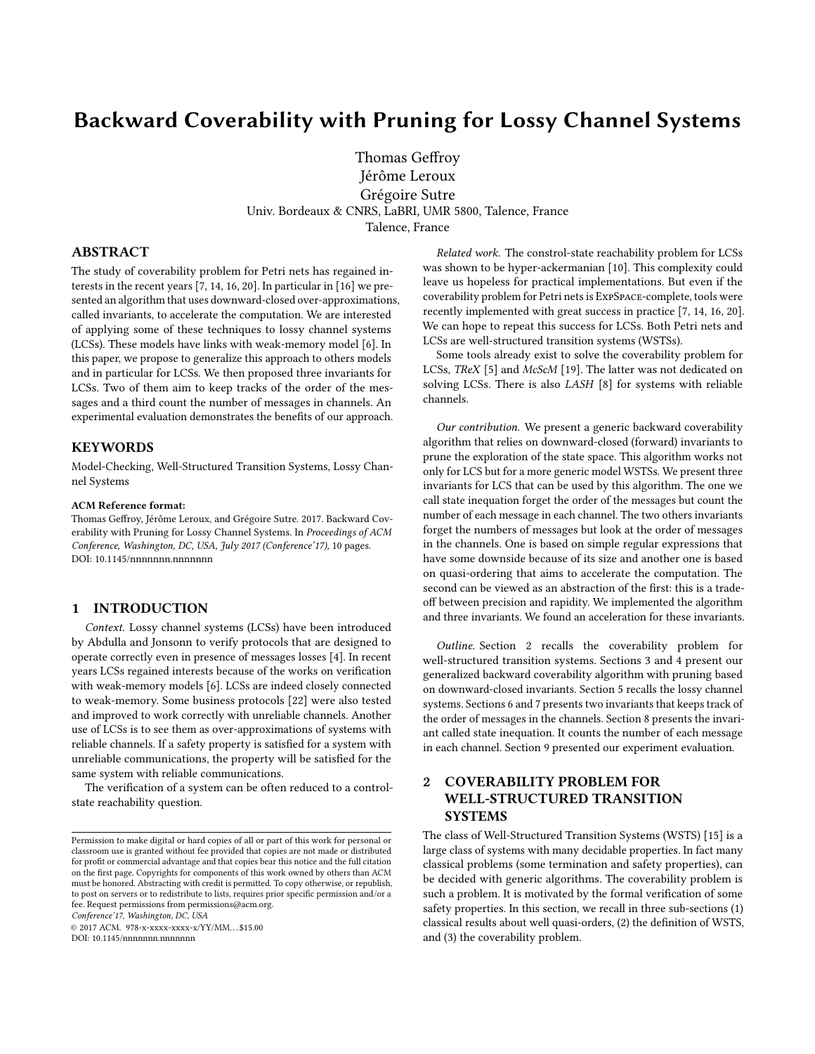# Backward Coverability with Pruning for Lossy Channel Systems

Thomas Geffroy Jérôme Leroux Grégoire Sutre Univ. Bordeaux & CNRS, LaBRI, UMR 5800, Talence, France Talence, France

# ABSTRACT

The study of coverability problem for Petri nets has regained interests in the recent years [\[7,](#page-9-0) [14,](#page-9-1) [16,](#page-9-2) [20\]](#page-9-3). In particular in [\[16\]](#page-9-2) we presented an algorithm that uses downward-closed over-approximations, called invariants, to accelerate the computation. We are interested of applying some of these techniques to lossy channel systems (LCSs). These models have links with weak-memory model [\[6\]](#page-9-4). In this paper, we propose to generalize this approach to others models and in particular for LCSs. We then proposed three invariants for LCSs. Two of them aim to keep tracks of the order of the messages and a third count the number of messages in channels. An experimental evaluation demonstrates the benefits of our approach.

#### **KEYWORDS**

Model-Checking, Well-Structured Transition Systems, Lossy Channel Systems

#### ACM Reference format:

Thomas Geffroy, Jérôme Leroux, and Grégoire Sutre. 2017. Backward Coverability with Pruning for Lossy Channel Systems. In Proceedings of ACM Conference, Washington, DC, USA, July 2017 (Conference'17), [10](#page-9-5) pages. DOI: 10.1145/nnnnnnn.nnnnnnn

# 1 INTRODUCTION

Context. Lossy channel systems (LCSs) have been introduced by Abdulla and Jonsonn to verify protocols that are designed to operate correctly even in presence of messages losses [\[4\]](#page-9-6). In recent years LCSs regained interests because of the works on verification with weak-memory models [\[6\]](#page-9-4). LCSs are indeed closely connected to weak-memory. Some business protocols [\[22\]](#page-9-7) were also tested and improved to work correctly with unreliable channels. Another use of LCSs is to see them as over-approximations of systems with reliable channels. If a safety property is satisfied for a system with unreliable communications, the property will be satisfied for the same system with reliable communications.

The verification of a system can be often reduced to a controlstate reachability question.

Conference'17, Washington, DC, USA

© 2017 ACM. 978-x-xxxx-xxxx-x/YY/MM. . . \$15.00

DOI: 10.1145/nnnnnnn.nnnnnnn

Related work. The constrol-state reachability problem for LCSs was shown to be hyper-ackermanian [\[10\]](#page-9-8). This complexity could leave us hopeless for practical implementations. But even if the coverability problem for Petri nets is ExpSpace-complete, tools were recently implemented with great success in practice [\[7,](#page-9-0) [14,](#page-9-1) [16,](#page-9-2) [20\]](#page-9-3). We can hope to repeat this success for LCSs. Both Petri nets and LCSs are well-structured transition systems (WSTSs).

Some tools already exist to solve the coverability problem for LCSs, TReX [\[5\]](#page-9-9) and McScM [\[19\]](#page-9-10). The latter was not dedicated on solving LCSs. There is also LASH [\[8\]](#page-9-11) for systems with reliable channels.

Our contribution. We present a generic backward coverability algorithm that relies on downward-closed (forward) invariants to prune the exploration of the state space. This algorithm works not only for LCS but for a more generic model WSTSs. We present three invariants for LCS that can be used by this algorithm. The one we call state inequation forget the order of the messages but count the number of each message in each channel. The two others invariants forget the numbers of messages but look at the order of messages in the channels. One is based on simple regular expressions that have some downside because of its size and another one is based on quasi-ordering that aims to accelerate the computation. The second can be viewed as an abstraction of the first: this is a tradeoff between precision and rapidity. We implemented the algorithm and three invariants. We found an acceleration for these invariants.

Outline. [Section 2](#page-0-0) recalls the coverability problem for well-structured transition systems. [Sections 3](#page-1-0) and [4](#page-2-0) present our generalized backward coverability algorithm with pruning based on downward-closed invariants. [Section 5](#page-3-0) recalls the lossy channel systems. [Sections 6](#page-5-0) and [7](#page-6-0) presents two invariants that keeps track of the order of messages in the channels. [Section 8](#page-7-0) presents the invariant called state inequation. It counts the number of each message in each channel. [Section 9](#page-7-1) presented our experiment evaluation.

# <span id="page-0-0"></span>2 COVERABILITY PROBLEM FOR WELL-STRUCTURED TRANSITION SYSTEMS

The class of Well-Structured Transition Systems (WSTS) [\[15\]](#page-9-12) is a large class of systems with many decidable properties. In fact many classical problems (some termination and safety properties), can be decided with generic algorithms. The coverability problem is such a problem. It is motivated by the formal verification of some safety properties. In this section, we recall in three sub-sections (1) classical results about well quasi-orders, (2) the definition of WSTS, and (3) the coverability problem.

Permission to make digital or hard copies of all or part of this work for personal or classroom use is granted without fee provided that copies are not made or distributed for profit or commercial advantage and that copies bear this notice and the full citation on the first page. Copyrights for components of this work owned by others than  $\rm{ACM}$ must be honored. Abstracting with credit is permitted. To copy otherwise, or republish, to post on servers or to redistribute to lists, requires prior specific permission and/or a fee. Request permissions from permissions@acm.org.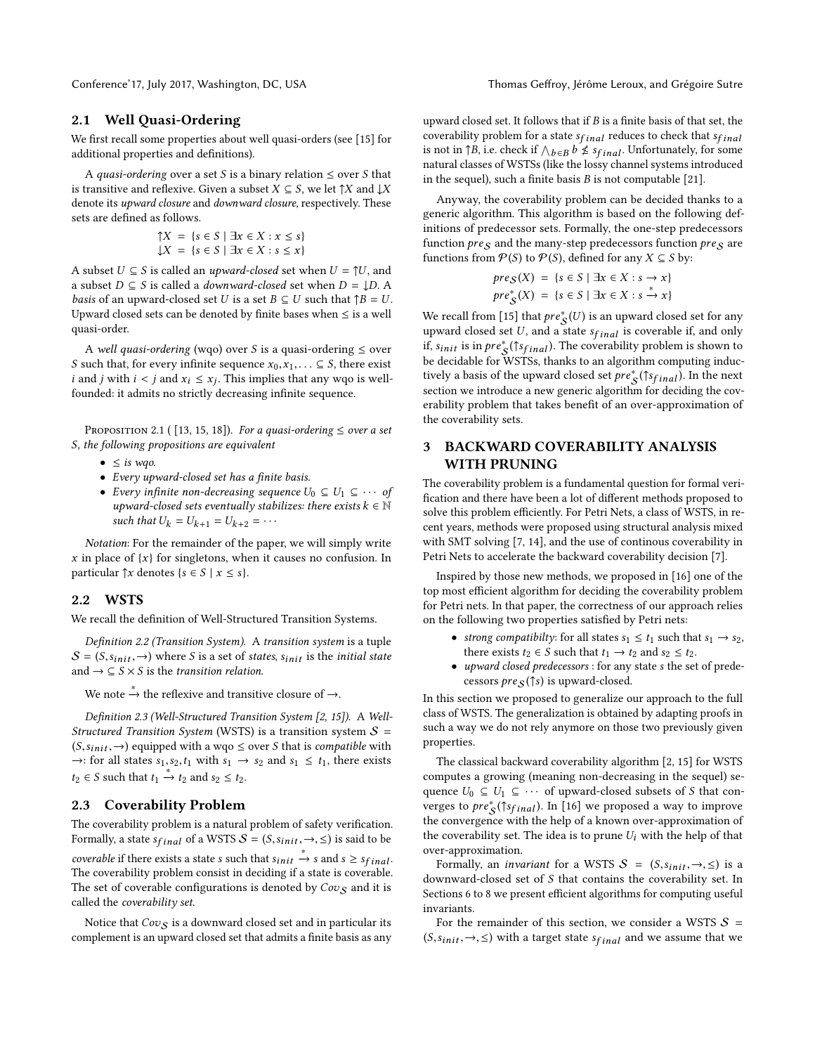## 2.1 Well Quasi-Ordering

We first recall some properties about well quasi-orders (see [\[15\]](#page-9-12) for additional properties and definitions).

A *quasi-ordering* over a set S is a binary relation  $\leq$  over S that is transitive and reflexive. Given a subset  $X \subseteq S$ , we let  $\uparrow X$  and  $\downarrow X$ denote its upward closure and downward closure, respectively. These sets are defined as follows.

$$
\begin{aligned} \uparrow X &= \{ s \in S \mid \exists x \in X : x \le s \} \\ \downarrow X &= \{ s \in S \mid \exists x \in X : s \le x \} \end{aligned}
$$

A subset  $U \subseteq S$  is called an *upward-closed* set when  $U = \uparrow U$ , and a subset  $D \subseteq S$  is called a *downward-closed* set when  $D = \downarrow D$ . a subset  $D \subseteq S$  is called a *downward-closed* set when  $D = \downarrow D$ . A *basis* of an upward-closed set U is a set  $B \subseteq U$  such that  $\uparrow B = U$ . Upward closed sets can be denoted by finite bases when  $\leq$  is a well quasi-order.

A well quasi-ordering (wqo) over S is a quasi-ordering  $\leq$  over S such that, for every infinite sequence  $x_0, x_1, \ldots \subseteq S$ , there exist *i* and *j* with  $i < j$  and  $x_i \le x_j$ . This implies that any wqo is well-<br>founded: it admits no strictly decreasing infinite sequence founded: it admits no strictly decreasing infinite sequence.

PROPOSITION 2.1 ( [\[13,](#page-9-13) [15,](#page-9-12) [18\]](#page-9-14)). For a quasi-ordering  $\leq$  over a set S, the following propositions are equivalent

- $\leq$  is wqo.
- Every upward-closed set has a finite basis.
- Every infinite non-decreasing sequence  $U_0 \subseteq U_1 \subseteq \cdots$  of upward-closed sets eventually stabilizes: there exists  $k \in \mathbb{N}$ such that  $U_k = U_{k+1} = U_{k+2} = \cdots$

Notation: For the remainder of the paper, we will simply write x in place of  $\{x\}$  for singletons, when it causes no confusion. In particular  $\uparrow x$  denotes  $\{s \in S \mid x \leq s\}.$ 

## 2.2 WSTS

We recall the definition of Well-Structured Transition Systems.

Definition 2.2 (Transition System). A transition system is a tuple  $S = (S,s_{init},\rightarrow)$  where S is a set of states, s<sub>init</sub> is the initial state and  $\rightarrow \subseteq S \times S$  is the *transition relation*.

We note  $\stackrel{*}{\to}$  the reflexive and transitive closure of  $\to$ .

Definition 2.3 (Well-Structured Transition System [\[2,](#page-9-15) [15\]](#page-9-12)). A Well-Structured Transition System (WSTS) is a transition system  $S =$  $(S,s_{init},→)$  equipped with a wqo  $\leq$  over S that is *compatible* with  $\rightarrow$ : for all states  $s_1, s_2, t_1$  with  $s_1 \rightarrow s_2$  and  $s_1 \leq t_1$ , there exists  $t_2 \in S$  such that  $t_1 \stackrel{*}{\rightarrow} t_2$  and  $s_2 \leq t_2$ .

# 2.3 Coverability Problem

The coverability problem is a natural problem of safety verification. Formally, a state  $s_{final}$  of a WSTS  $S = (S, s_{init}, \rightarrow, \leq)$  is said to be coverable if there exists a state s such that  $s_{init} \stackrel{*}{\rightarrow} s$  and  $s \geq s_{final}$ .<br>The coverability problem consist in deciding if a state is coverable. The coverability problem consist in deciding if a state is coverable. The set of coverable configurations is denoted by  $Cov_S$  and it is called the coverability set.

Notice that  $Cov_S$  is a downward closed set and in particular its complement is an upward closed set that admits a finite basis as any upward closed set. It follows that if  $B$  is a finite basis of that set, the coverability problem for a state  $s_{final}$  reduces to check that  $s_{final}$ is not in  $\uparrow B$ , i.e. check if  $\wedge_{b \in B} b \nleq s_{final}$ . Unfortunately, for some natural classes of WSTSs (like the lossy channel systems introduced natural classes of WSTSs (like the lossy channel systems introduced in the sequel), such a finite basis  $B$  is not computable [\[21\]](#page-9-16).

Anyway, the coverability problem can be decided thanks to a generic algorithm. This algorithm is based on the following definitions of predecessor sets. Formally, the one-step predecessors function  $pres$  and the many-step predecessors function  $pres$  are functions from  $\mathcal{P}(S)$  to  $\mathcal{P}(S)$ , defined for any  $X \subseteq S$  by:

$$
pre_{\mathcal{S}}(X) = \{ s \in S \mid \exists x \in X : s \to x \}
$$

$$
pre_{\mathcal{S}}^{*}(X) = \{ s \in S \mid \exists x \in X : s \stackrel{*}{\to} x \}
$$

We recall from [\[15\]](#page-9-12) that  $pre^*(U)$  is an upward closed set for any<br>upward closed set  $U$  and a state set is coverable if and only upward closed set  $U$ , and a state  $s_{final}$  is coverable if, and only if,  $s_{init}$  is in  $pre^*_{\mathcal{S}}(\hat{1} s_{final})$ . The coverability problem is shown to be decidently WSTSs, thanks to an algorithm computing inducbe decidable for WSTSs, thanks to an algorithm computing inductively a basis of the upward closed set  $pre^*_{\mathcal{S}}(\uparrow s_{final})$ . In the next<br>section we introduce a new generic algorithm for deciding the covsection we introduce a new generic algorithm for deciding the coverability problem that takes benefit of an over-approximation of the coverability sets.

# <span id="page-1-0"></span>3 BACKWARD COVERABILITY ANALYSIS WITH PRUNING

The coverability problem is a fundamental question for formal veri fication and there have been a lot of different methods proposed to solve this problem efficiently. For Petri Nets, a class of WSTS, in recent years, methods were proposed using structural analysis mixed with SMT solving [\[7,](#page-9-0) [14\]](#page-9-1), and the use of continous coverability in Petri Nets to accelerate the backward coverability decision [\[7\]](#page-9-0).

Inspired by those new methods, we proposed in [\[16\]](#page-9-2) one of the top most efficient algorithm for deciding the coverability problem for Petri nets. In that paper, the correctness of our approach relies on the following two properties satisfied by Petri nets:

- strong compatibilty: for all states  $s_1 \le t_1$  such that  $s_1 \rightarrow s_2$ , there exists  $t_2 \in S$  such that  $t_1 \rightarrow t_2$  and  $s_2 \leq t_2$ .
- upward closed predecessors : for any state <sup>s</sup> the set of predecessors  $pre_S(\uparrow s)$  is upward-closed.

In this section we proposed to generalize our approach to the full class of WSTS. The generalization is obtained by adapting proofs in such a way we do not rely anymore on those two previously given properties.

The classical backward coverability algorithm [\[2,](#page-9-15) [15\]](#page-9-12) for WSTS computes a growing (meaning non-decreasing in the sequel) sequence  $U_0 \subseteq U_1 \subseteq \cdots$  of upward-closed subsets of S that converges to  $pre^*_{\mathcal{S}}({\uparrow s_{final}})$ . In [\[16\]](#page-9-2) we proposed a way to improve<br>the convergence with the help of a known over-approximation of the convergence with the help of a known over-approximation of the coverability set. The idea is to prune  $U_i$  with the help of that over-approximation.

Formally, an *invariant* for a WSTS  $S = (S, s_{init}, \rightarrow, \leq)$  is a downward-closed set of S that contains the coverability set. In [Sections 6](#page-5-0) to [8](#page-7-0) we present efficient algorithms for computing useful invariants.

For the remainder of this section, we consider a WSTS  $S =$  $(S,s_{init}, \rightarrow, \leq)$  with a target state  $s_{final}$  and we assume that we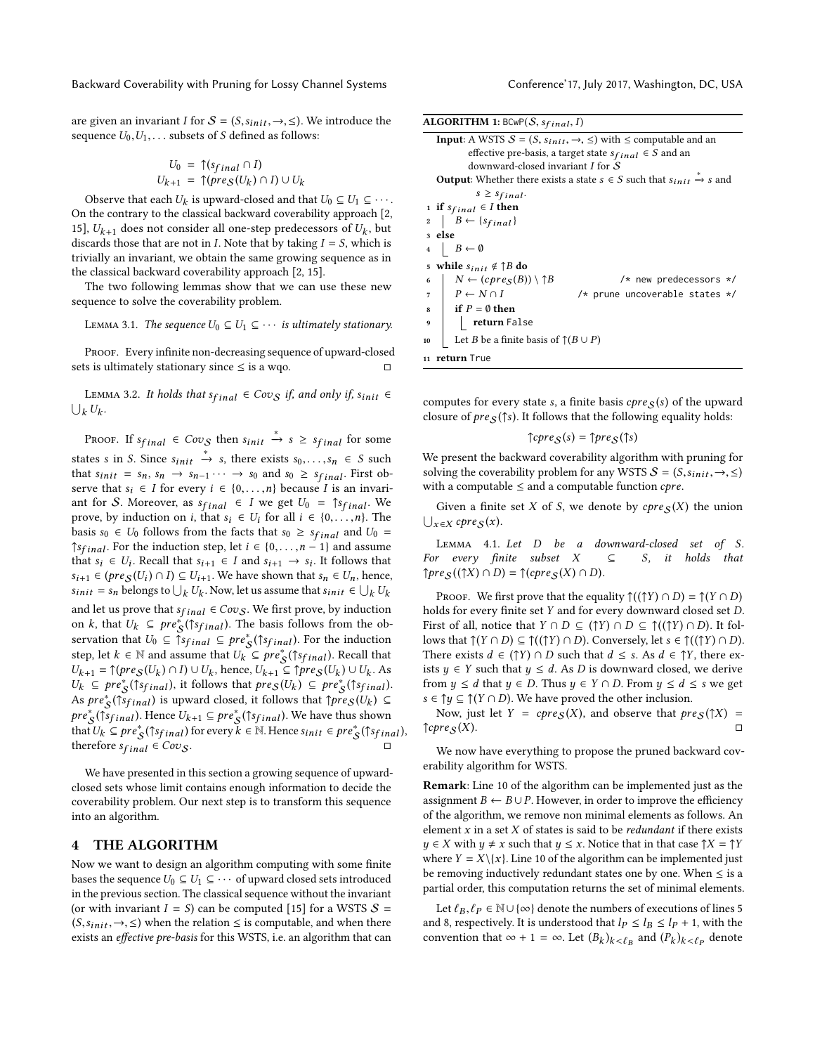are given an invariant I for  $S = (S,s_{init}, \rightarrow, \leq)$ . We introduce the sequence  $U_0, U_1, \ldots$  subsets of S defined as follows:

$$
U_0 = \uparrow (s_{final} \cap I)
$$
  

$$
U_{k+1} = \uparrow (pre_{S}(U_k) \cap I) \cup U_k
$$

Observe that each  $U_k$  is upward-closed and that  $U_0 \subseteq U_1 \subseteq \cdots$ , the contrary to the classical backward coverability approach [2] On the contrary to the classical backward coverability approach [\[2,](#page-9-15) [15\]](#page-9-12),  $U_{k+1}$  does not consider all one-step predecessors of  $U_k$ , but<br>discards those that are not in I. Note that by taking  $I-S$  which is discards those that are not in *I*. Note that by taking  $I = S$ , which is trivially an invariant, we obtain the same growing sequence as in the classical backward coverability approach [\[2,](#page-9-15) [15\]](#page-9-12).

The two following lemmas show that we can use these new sequence to solve the coverability problem.

<span id="page-2-7"></span>LEMMA 3.1. The sequence  $U_0 \subseteq U_1 \subseteq \cdots$  is ultimately stationary.

PROOF. Every infinite non-decreasing sequence of upward-closed sets is ultimately stationary since  $\leq$  is a wqo.  $\Box$ 

<span id="page-2-10"></span>LEMMA 3.2. It holds that  $s_{final} \in Cov_{S}$  if, and only if,  $s_{init} \in$  $_k U_k$ .

PROOF. If  $s_{final} \in Cov_{S}$  then  $s_{init} \stackrel{*}{\rightarrow} s \geq s_{final}$  for some states s in S. Since  $s_{init} \stackrel{*}{\rightarrow} s$ , there exists  $s_0, \ldots, s_n \in S$  such that  $s_0, \ldots, s_n \in S$  such that  $s_0, \ldots, s_n \in S$ that  $s_{init} = s_n$ ,  $s_n \rightarrow s_{n-1} \cdots \rightarrow s_0$  and  $s_0 \geq s_{final}$ . First observe that  $s_i \in I$  for every  $i \in \{0, \ldots, n\}$  because I is an invariant for S. Moreover, as  $s_{final} \in I$  we get  $U_0 = \uparrow s_{final}$ . We prove, by induction on *i*, that  $s_i \in U_i$  for all  $i \in \{0, \ldots, n\}$ . The basis  $s_0 \in U_0$  follows from the facts that  $s_0 \geq s_{final}$  and  $U_0 =$  $\uparrow s_{final}$ . For the induction step, let  $i \in \{0, \ldots, n-1\}$  and assume that  $s_i \in U_i$ . Recall that  $s_{i+1} \in I$  and  $s_{i+1} \to s_i$ . It follows that  $s_i \in (hre(S_i) \cap I) \subset U_i$ . We have shown that  $s_i \in U$ , hance  $s_{i+1} \in (pre_{\mathcal{S}}(U_i) \cap I) \subseteq U_{i+1}$ . We have shown that  $s_n \in U_n$ , hence,<br> $s_{i+1} = s$ , belongs to  $|V_i|$ . Now let us assume that  $s_{i+1} \in |V_i|$ .  $s_{init} = s_n$  belongs to  $\bigcup_k U_k$ . Now, let us assume that  $s_{init} \in \bigcup_k S_k$ and let us prove that  $s_{final} \in Cov_S$ . We first prove, by induction<br>on k that  $U_k \subseteq pre^*(f_{S_{k+1}})$ . The basis follows from the obon k, that  $U_k \subseteq pre^*_{\mathcal{S}}({\uparrow s}_{final})$ . The basis follows from the ob-<br>servation that  $U_k \subseteq {\uparrow s}_{\mathcal{S}}$  on  $\mathcal{S}$  are  ${\uparrow s}_{\mathcal{S}}$  ( ${\uparrow s}_{\mathcal{S}}$ ). For the induction servation that  $U_0 \subseteq \S_{\text{final}} \subseteq pre^*_{\mathcal{S}}(\S_{\text{final}})$ . For the induction step, let  $k \in \mathbb{N}$  and assume that  $U_0 \subseteq pre^* (\S_{\text{final}})$ . Recall that step, let  $k \in \mathbb{N}$  and assume that  $U_k \subseteq pre^*_{\mathcal{S}}(\uparrow s_{final})$ . Recall that  $U_k = \uparrow (n_{\mathcal{S}}(U_k) \cap U_k)$  hange  $U_k \subseteq \uparrow n_{\mathcal{S}}(U_k) \cup U_k$ . As  $U_{k+1} = \uparrow (pre_S(U_k) \cap I) \cup U_k$ , hence,  $U_{k+1} \subseteq \uparrow pre_S(U_k) \cup U_k$ . As<br>  $U_k \subseteq pre^* (\uparrow s_{\leq k+1})$  it follows that  $pre_S(U_k) \subseteq pre^* (\uparrow s_{\leq k+1})$  $U_k \subseteq pre^*_{\mathcal{S}}(\{ \hat{s}_{final} \})$ , it follows that  $pre_{\mathcal{S}}(U_k) \subseteq pre^*_{\mathcal{S}}(\{ \hat{s}_{final} \})$ . As  $pre^*_{\mathcal{S}}(\lceil s_{final}\rceil)$  is upward closed, it follows that  $\lceil pre_{\mathcal{S}}(U_k) \rceil$ pre<sup>∗</sup>s(↑s<sub>final</sub>). Hence  $U_{k+1} \subseteq pre_s^*(\S_{final})$ . We have thus shown<br>that  $U_s \subseteq pre^*(\S_{s-1})$  for every  $k \in \mathbb{N}$  Hence  $s_1, s_2 \in pre^*(\S_{s-1})$ that  $U_k \subseteq pre_s^*(\uparrow s_{final})$  for every  $k \in \mathbb{N}$ . Hence  $s_{init} \in pre_s^*(\uparrow s_{final})$ ,<br>therefore  $s_{es} \in \mathbb{C}^{(n)}$ therefore  $s_{final} \in Cov_S$ .

We have presented in this section a growing sequence of upwardclosed sets whose limit contains enough information to decide the coverability problem. Our next step is to transform this sequence into an algorithm.

#### <span id="page-2-0"></span>4 THE ALGORITHM

Now we want to design an algorithm computing with some finite bases the sequence  $U_0 \subseteq U_1 \subseteq \cdots$  of upward closed sets introduced in the previous section. The classical sequence without the invariant (or with invariant  $I = S$ ) can be computed [\[15\]](#page-9-12) for a WSTS  $S =$  $(S,s_{init}, \rightarrow, \leq)$  when the relation  $\leq$  is computable, and when there exists an effective pre-basis for this WSTS, i.e. an algorithm that can

| <b>ALGORITHM 1:</b> BCwP $(S, s_{final}, I)$ |  |  |
|----------------------------------------------|--|--|
|                                              |  |  |

<span id="page-2-1"></span>

|    | <b>Input</b> : A WSTS $S = (S, s_{init}, \rightarrow, \leq)$ with $\leq$ computable and an   |
|----|----------------------------------------------------------------------------------------------|
|    | effective pre-basis, a target state $s_{final} \in S$ and an                                 |
|    | downward-closed invariant $I$ for $S$                                                        |
|    | <b>Output:</b> Whether there exists a state $s \in S$ such that $s_{init} \rightarrow s$ and |
|    | $s \geq s_{final}$ .                                                                         |
|    | 1 if $s_{final} \in I$ then                                                                  |
|    | 2   $B \leftarrow \{s_{final}\}\$                                                            |
|    | 3 else                                                                                       |
|    | $\mid B \leftarrow \emptyset$                                                                |
|    | 5 while $s_{init} \notin \uparrow B$ do                                                      |
| 6  | $N \leftarrow (cpre_{S}(B)) \setminus \uparrow B$<br>$/*$ new predecessors $*/$              |
|    | $\vert P \leftarrow N \cap I$<br>/* prune uncoverable states */                              |
|    | $\mathbf{s}$   if $P = \emptyset$ then                                                       |
| 9  | return False                                                                                 |
| 10 | Let <i>B</i> be a finite basis of $\uparrow$ ( <i>B</i> $\cup$ <i>P</i> )                    |
|    | 11 return True                                                                               |

<span id="page-2-9"></span><span id="page-2-8"></span><span id="page-2-6"></span><span id="page-2-4"></span><span id="page-2-3"></span><span id="page-2-2"></span>computes for every state s, a finite basis  $cpre_S(s)$  of the upward closure of  $pre_S(\uparrow s)$ . It follows that the following equality holds:

$$
\uparrow cpre_{\mathcal{S}}(s) = \uparrow pre_{\mathcal{S}}(\uparrow s)
$$

We present the backward coverability algorithm with pruning for solving the coverability problem for any WSTS  $S = (S, s_{init}, \rightarrow, \leq)$ with a computable  $\leq$  and a computable function *cpre*.

Given a finite set X of S, we denote by  $cpre_S(X)$  the union  $\bigcup_{x \in X} \text{cpre}_{\mathcal{S}}(x).$ 

<span id="page-2-5"></span>LEMMA 4.1. Let D be a downward-closed set of S.<br>r every finite subset  $X \subseteq S$ , it holds that For every finite subset  $X$  $\uparrow pre_S((\uparrow X) \cap D) = \uparrow (cpre_S(X) \cap D).$ 

PROOF. We first prove that the equality  $\uparrow((\uparrow Y) \cap D) = \uparrow(Y \cap D)$ holds for every finite set Y and for every downward closed set D. First of all, notice that  $Y \cap D \subseteq ( \uparrow Y) \cap D \subseteq \uparrow (( \uparrow Y) \cap D)$ . It follows that  $\uparrow(Y \cap D) \subseteq \uparrow((\uparrow Y) \cap D)$ . Conversely, let  $s \in \uparrow((\uparrow Y) \cap D)$ . There exists  $d \in (\uparrow Y) \cap D$  such that  $d \leq s$ . As  $d \in \uparrow Y$ , there exists  $y \in Y$  such that  $y \le d$ . As D is downward closed, we derive from  $y \le d$  that  $y \in D$ . Thus  $y \in Y \cap D$ . From  $y \le d \le s$  we get  $s \in \uparrow \psi \subseteq \uparrow (Y \cap D)$ . We have proved the other inclusion.

Now, just let *Y* = *cpreS*(*X*), and observe that  $pre_S(\uparrow X)$  =  $\uparrow$  $\uparrow$  $pre_S(X)$ .  $\text{Tr} \text{pre}_S(X).$ 

We now have everything to propose the pruned backward coverability algorithm for WSTS.

Remark: Line 10 of the algorithm can be implemented just as the assignment  $B \leftarrow B \cup P$ . However, in order to improve the efficiency of the algorithm, we remove non minimal elements as follows. An element  $x$  in a set  $X$  of states is said to be *redundant* if there exists  $y \in X$  with  $y \neq x$  such that  $y \leq x$ . Notice that in that case  $\uparrow X = \uparrow Y$ where  $Y = X \setminus \{x\}$ . Line 10 of the algorithm can be implemented just be removing inductively redundant states one by one. When  $\leq$  is a partial order, this computation returns the set of minimal elements.

Let  $\ell_B, \ell_P \in \mathbb{N} \cup \{\infty\}$  denote the numbers of executions of lines [5](#page-2-1) and [8,](#page-2-2) respectively. It is understood that  $l_P \leq l_B \leq l_P + 1$ , with the convention that  $\infty + 1 = \infty$ . Let  $(B_k)_{k < \ell_B}$  and  $(P_k)_{k < \ell_P}$  denote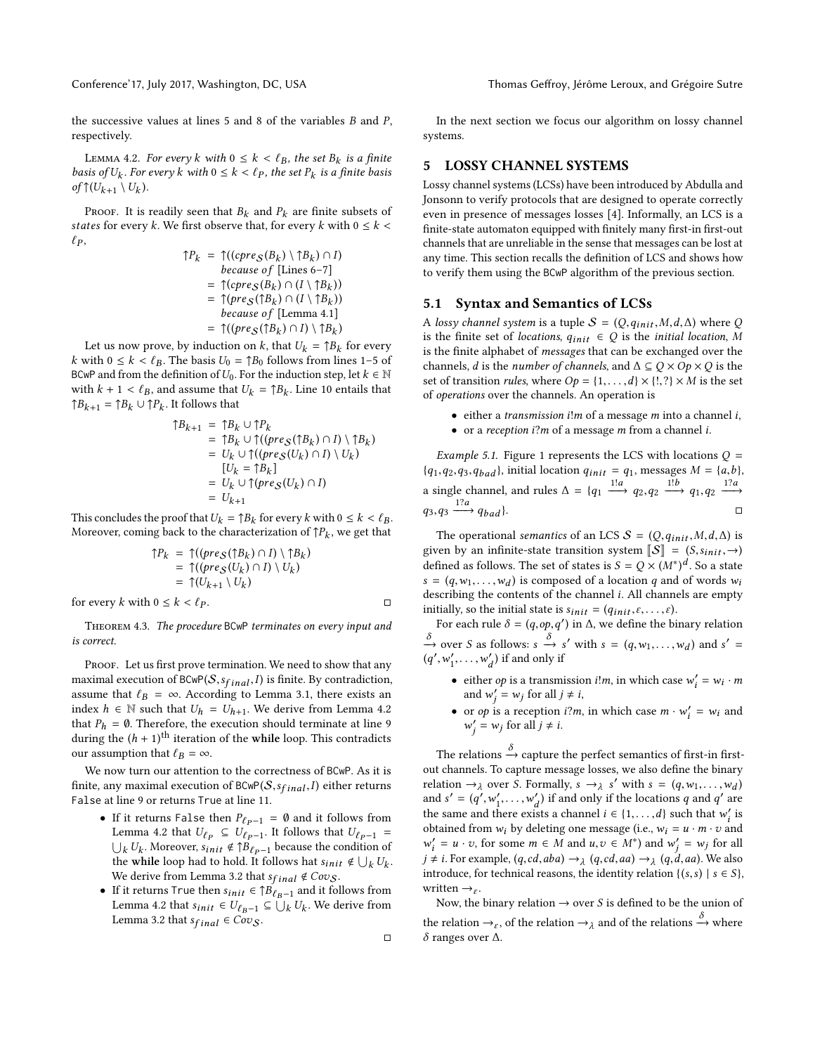the successive values at lines [5](#page-2-1) and [8](#page-2-2) of the variables B and P, respectively.

<span id="page-3-1"></span>LEMMA 4.2. For every k with  $0 \le k < \ell_B$ , the set  $B_k$  is a finite<br>sis of U<sub>r.</sub> For every k with  $0 \le k < \ell_B$ , the set  $P_k$  is a finite basis basis of  $U_k$ . For every  $k$  with  $0 \le k < \ell_P$ , the set  $P_k$  is a finite basis of  $\mathcal{H}(U_{k-1} \setminus U_k)$ of  $\uparrow$   $(U_{k+1} \setminus U_k)$ .

PROOF. It is readily seen that  $B_k$  and  $P_k$  are finite subsets of states for every k. We first observe that, for every k with  $0 \leq k$  $\ell_P$ ,

<sup>↑</sup>P<sup>k</sup> <sup>=</sup> <sup>↑</sup>((cpre<sup>S</sup> (B<sup>k</sup> ) \ ↑Bk ) <sup>∩</sup> I) because o f [Lines [6](#page-2-3)[–7\]](#page-2-4) <sup>=</sup> <sup>↑</sup>(cpre<sup>S</sup> (B<sup>k</sup> ) <sup>∩</sup> (<sup>I</sup> \ ↑Bk )) <sup>=</sup> <sup>↑</sup>(pre<sup>S</sup> (↑B<sup>k</sup> ) <sup>∩</sup> (<sup>I</sup> \ ↑Bk )) because o f [\[Lemma 4.1\]](#page-2-5) <sup>=</sup> <sup>↑</sup>((pre<sup>S</sup> (↑B<sup>k</sup> ) <sup>∩</sup> <sup>I</sup>) \ ↑Bk )

Let us now prove, by induction on k, that  $U_k = \uparrow B_k$  for every<br>with  $0 \le k \le \ell_p$ . The basis  $U_k = \uparrow B_0$  follows from lines 1–5 of k with  $0 \le k < \ell_B$ . The basis  $U_0 = \uparrow B_0$  follows from lines 1[–5](#page-2-1) of BCwP and from the definition of  $U_0$ . For the induction step, let  $k \in \mathbb{N}$ with  $k + 1 < \ell_B$ , and assume that  $U_k = \uparrow B_k$ . Line [10](#page-2-6) entails that  $\uparrow B_k = \uparrow B_k + \uparrow B_k$ . It follows that  $\uparrow B_{k+1} = \uparrow B_k \cup \uparrow P_k$ . It follows that

$$
\begin{aligned} \uparrow B_{k+1} &= \uparrow B_k \cup \uparrow P_k \\ &= \uparrow B_k \cup \uparrow ((pre_S(\uparrow B_k) \cap I) \setminus \uparrow B_k) \\ &= U_k \cup \uparrow ((pre_S(U_k) \cap I) \setminus U_k) \\ &[U_k = \uparrow B_k] \\ &= U_k \cup \uparrow (pre_S(U_k) \cap I) \\ &= U_{k+1} \end{aligned}
$$

This concludes the proof that  $U_k = \uparrow B_k$  for every k with  $0 \le k < \ell_B$ .<br>Moreover, coming back to the characterization of  $\uparrow P$ , we get that Moreover, coming back to the characterization of  $\uparrow P_k$ , we get that

$$
\begin{aligned} \uparrow P_k &= \uparrow ((pre_S(\uparrow B_k) \cap I) \setminus \uparrow B_k) \\ &= \uparrow ((pre_S(U_k) \cap I) \setminus U_k) \\ &= \uparrow (U_{k+1} \setminus U_k) \end{aligned}
$$

for every k with  $0 \le k < \ell_P$ .

Theorem 4.3. The procedure BCwP terminates on every input and is correct.

PROOF. Let us first prove termination. We need to show that any maximal execution of  $BCwP(S,s_{final},I)$  is finite. By contradiction, assume that  $\ell_B = \infty$ . According to [Lemma 3.1,](#page-2-7) there exists an index  $h \in \mathbb{N}$  such that  $U_h = U_{h+1}$ . We derive from [Lemma 4.2](#page-3-1) that  $P_h = \emptyset$ . Therefore, the execution should terminate at line [9](#page-2-8) during the  $(h + 1)$ <sup>th</sup> iteration of the while loop. This contradicts our assumption that  $\ell_{\text{D}} = \infty$ our assumption that  $\ell_B = \infty$ .

We now turn our attention to the correctness of BCwP. As it is finite, any maximal execution of  $BCwP(S,s_{final},I)$  either returns False at line [9](#page-2-8) or returns True at line [11.](#page-2-9)

- If it returns False then  $P_{\ell p-1} = \emptyset$  and it follows from [Lemma 4.2](#page-3-1) that  $U_{\ell_P} \subseteq U_{\ell_{P-1}}$ . It follows that  $U_{\ell_{P-1}} = \bigcup_k U_k$ . Moreover,  $s_{init} \notin \uparrow B_{\ell_P-1}$  because the condition of the while loop had to hold. It follows hat  $s_{init} \notin \bigcup_k U_k$ .<br>We derive from I emma 3.2 that so  $\mathcal{A} \subseteq G^{212}$ .  $\bigcup_k U_k$ . Moreover,  $s_{init} \notin \uparrow B_{\ell_P - 1}$  because the condition of We derive from [Lemma 3.2](#page-2-10) that  $s_{final} \notin Cov_S$ .
- If it returns <code>True</code> then  $s_{init} \in \uparrow B_{\ell_B 1}$  and it follows from [Lemma 4.2](#page-3-1) that  $s_{init} \in U_{\ell_{B}-1} \subseteq \bigcup_k U_k$ . We derive from Lemma 3.2 that  $s_{\ell_{k+1}} \in Cov_{\ell_{k+1}}$ [Lemma 3.2](#page-2-10) that  $s_{final} \in Cov_S$ .

In the next section we focus our algorithm on lossy channel systems.

#### <span id="page-3-0"></span>5 LOSSY CHANNEL SYSTEMS

Lossy channel systems (LCSs) have been introduced by Abdulla and Jonsonn to verify protocols that are designed to operate correctly even in presence of messages losses [\[4\]](#page-9-6). Informally, an LCS is a finite-state automaton equipped with finitely many first-in first-out channels that are unreliable in the sense that messages can be lost at any time. This section recalls the definition of LCS and shows how to verify them using the BCwP algorithm of the previous section.

#### 5.1 Syntax and Semantics of LCSs

A lossy channel system is a tuple  $S = (Q, q_{init}, M, d, \Delta)$  where Q is the finite set of locations,  $q_{init} \in Q$  is the initial location, M is the finite alphabet of messages that can be exchanged over the channels, *d* is the *number of channels*, and  $\Delta \subseteq Q \times Op \times Q$  is the set of transition *rules*, where  $Op = \{1, \ldots, d\} \times \{!, ?\} \times M$  is the set of operations over the channels. An operation is

- $\bullet$  either a *transmission i!m* of a message *m* into a channel *i*,
- or a reception i?m of a message m from a channel i.

*Example 5.1.* [Figure 1](#page-4-0) represents the LCS with locations  $Q =$  ${q_1, q_2, q_3, q_{bad}}$ , initial location  $q_{init} = q_1$ , messages  $M = \{a, b\}$ , a single channel, and rules  $\Delta = \{q_1 \xrightarrow{1!a} q_2, q_2 \xrightarrow{1!b} q_1, q_2 \xrightarrow{1?a} q_2, q_3 \xrightarrow{1?a} q_3, q_4 \xrightarrow{1?a} q_4, q_5 \xrightarrow{1?a} q_5, q_6 \xrightarrow{1?a} q_7, q_8 \xrightarrow{1?a} q_8, q_9 \xrightarrow{1?a} q_9, q_{10} \xrightarrow{1?a} q_9$  $q_3, q_3 \xrightarrow{1?a} q_{bad}$  }.

The operational semantics of an LCS  $S = (Q, q_{init}, M, d, \Delta)$  is given by an infinite-state transition system  $\llbracket S \rrbracket = (S, s_{init}, \rightarrow)$ defined as follows. The set of states is  $S = Q \times (M^*)^d$ . So a state  $s = (q, w_1, \dots, w_d)$  is composed of a location q and of words  $w_i$  describing the contents of the channel i. All channels are empty describing the contents of the channel i. All channels are empty initially, so the initial state is  $s_{init} = (q_{init}, \varepsilon, \dots, \varepsilon)$ .

For each rule  $\delta = (q, op, q')$  in  $\Delta$ , we define the binary relation  $\frac{\partial}{\partial y}$  over *S* as follows:  $s \stackrel{\partial}{\rightarrow} s'$  with  $s = (q, w_1, \dots, w_d)$  and  $s' = (q', w', w')$  if and only if  $\overline{a}$ 0  $\ddot{\phantom{0}}$  $\frac{1}{1}, \ldots, w$  $\binom{d}{d}$  if and only if

- either *op* is a transmission *i!m*, in which case  $w'_i = w_i \cdot m$ and  $w'_j = w_j$  for all  $j \neq i$ ,
- or *op* is a reception *i*?*m*, in which case  $m \cdot w'_i = w_i$  and  $w' = w_i$  for all  $i + i$  $j' = w_j$  for all  $j \neq i$ .

The relations  $\xrightarrow{\sim}$  capture the perfect semantics of first-in firstout channels. To capture message losses, we also define the binary relation  $\rightarrow \lambda$  over S. Formally,  $s \rightarrow \lambda$  s' with  $s = (q, w_1, \dots, w_d)$ <br>and  $s' = (a', w' \dots w')$  if and only if the locations a and a' are and  $s' = (q', w'_1, \ldots, w'_d)$  if and only if the locations q and q' are<br>the some ond there wists a shannel i.e. (1) such that  $w'$  is  $\lim_{t \to \infty} \frac{d}{dt}$  and the same and there exists a channel  $i \in \{1, \ldots, d\}$  such that w<sup>1</sup> is<br>obtained from w by deleting one message (i.e., w) such that w<sup>1</sup> is obtained from  $w_i$  by deleting one message (i.e.,  $w_i = u \cdot m \cdot v$  and  $w' = u \cdot v$  for all  $j \neq i$ . For example,  $(q, cd, aba) \rightarrow_{\lambda} (q, cd, aa) \rightarrow_{\lambda} (q, da, aa)$ . We also<br>introduce for technical reasons the identity relation  $l(s, s) \mid_{s \in S} S$  $\alpha' = u \cdot v$ , for some  $m \in M$  and  $u, v \in M^*$ ) and  $w'_j = w_j$  for all<br> $\neq i$ . Easy symmetry  $(a, ad, aba) \rightarrow (a, ad, ac) \rightarrow (a, da, c)$ . We also introduce, for technical reasons, the identity relation {(s, s) | s  $\in S$ }, written  $\rightarrow$ <sub>ε</sub>.

j

Now, the binary relation  $\rightarrow$  over S is defined to be the union of the relation  $\rightarrow_{\varepsilon}$ , of the relation  $\rightarrow_{\lambda}$  and of the relations  $\stackrel{\sim}{\rightarrow}$  where  $\stackrel{\sim}{\delta}$  ranges over  $\stackrel{\sim}{\Lambda}$ δ ranges over ∆.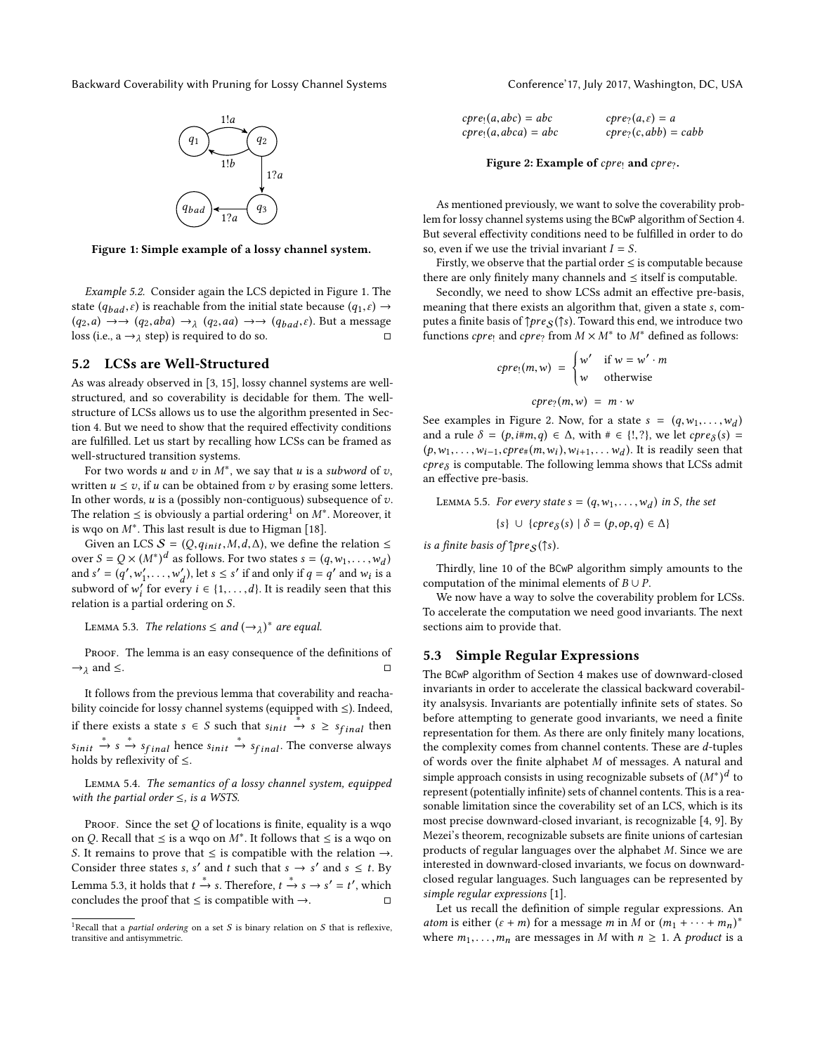<span id="page-4-0"></span>

Figure 1: Simple example of a lossy channel system.

Example 5.2. Consider again the LCS depicted in [Figure 1.](#page-4-0) The state ( $q_{bad}, \varepsilon$ ) is reachable from the initial state because ( $q_1, \varepsilon$ )  $\rightarrow$  $(q_2, a) \rightarrow (q_2, aba) \rightarrow \lambda (q_2, aa) \rightarrow (q_{bad}, \varepsilon)$ . But a message<br>loss (i.e. a  $\rightarrow \lambda$  step) is required to do so loss (i.e.,  $a \rightarrow \lambda$  step) is required to do so.

#### 5.2 LCSs are Well-Structured

As was already observed in [\[3,](#page-9-17) [15\]](#page-9-12), lossy channel systems are wellstructured, and so coverability is decidable for them. The wellstructure of LCSs allows us to use the algorithm presented in [Sec](#page-2-0)[tion 4.](#page-2-0) But we need to show that the required effectivity conditions are fulfilled. Let us start by recalling how LCSs can be framed as well-structured transition systems.

For two words u and v in  $M^*$ , we say that u is a subword of v,<br>itten  $u \leq v$  if u can be obtained from v by erasing some letters written  $u \le v$ , if u can be obtained from v by erasing some letters. In other words,  $u$  is a (possibly non-contiguous) subsequence of  $v$ . The relation  $\leq$  is obviously a partial ordering<sup>[1](#page-4-1)</sup> on M<sup>∗</sup>. Moreover, it is we can M<sup>∗</sup>. This last result is due to Higman [18] is wqo on  $M^*$ . This last result is due to Higman [\[18\]](#page-9-14).<br>Given an LCS  $S = (Q, q_1, \ldots, M, d, \Lambda)$  we define t

Given an LCS  $S = (Q, q_{init}, M, d, \Delta)$ , we define the relation  $\leq$ over  $S = Q \times (M^*)^d$  as follows. For two states  $s = (q, w_1, \dots, w_d)$ <br>and  $s' = (a', w', w')$  let  $s < s'$  if and only if  $a = a'$  and w is and  $s' = (q', w'_1, \ldots, w'_d)$ , let  $s \le s'$  if and only if  $q = q'$  and  $w_i$  is a<br>subveyed of  $w'$  for over  $i \in \{1, \ldots, d\}$ . It is predily seen that this  $u_1, u_2, \ldots, u_d, u_1, \ldots, u_d$ . It is readily seen that this subword of w'<sub>i</sub> for every  $i \in \{1, \ldots, d\}$ . It is readily seen that this relation is a partial ordering on S.

<span id="page-4-2"></span>LEMMA 5.3. The relations  $\leq$  and  $(\rightarrow_{\lambda})^*$  are equal.

PROOF. The lemma is an easy consequence of the definitions of  $\rightarrow \lambda$  and  $\leq$ .  $\lambda$  and  $\leq$ .

It follows from the previous lemma that coverability and reachability coincide for lossy channel systems (equipped with ≤). Indeed, if there exists a state  $s \in S$  such that  $s_{init} \stackrel{*}{\rightarrow} s \geq s_{final}$  then holds by reflexivity of  $\leq$ .  $\stackrel{*}{\rightarrow}$  s  $\stackrel{*}{\rightarrow}$  s<sub>final</sub> hence sinit  $\stackrel{*}{\rightarrow}$  s<sub>final</sub>. The converse always by reflexivity of <

Lemma 5.4. The semantics of a lossy channel system, equipped with the partial order  $\leq$ , is a WSTS.

PROOF. Since the set  $Q$  of locations is finite, equality is a wqo on Q. Recall that  $\leq$  is a wqo on M<sup>∗</sup>. It follows that  $\leq$  is a wqo on S. It remains to prove that  $\leq$  is compatible with the relation  $\rightarrow$ S. It remains to prove that  $\leq$  is compatible with the relation  $\rightarrow$ . Consider three states s, s' and t such that  $s \to s'$  and  $s \leq t$ . By [Lemma 5.3,](#page-4-2) it holds that  $t \xrightarrow{*} s$ . Therefore,  $t \xrightarrow{*} s \rightarrow s' = t'$ , which concludes the proof that  $\leq$  is compatible with  $\rightarrow$ .  $\Box$ 

<span id="page-4-3"></span>

| $cpre1(a,abc) = abc$   | $cpre2(a, \varepsilon) = a$ |
|------------------------|-----------------------------|
| $cpre1(a, abca) = abc$ | $cpre_2(c,abb) = cabb$      |
|                        |                             |

Figure 2: Example of  $cpre_1$  and  $cpre_?$ .

As mentioned previously, we want to solve the coverability problem for lossy channel systems using the BCwP algorithm of [Section 4.](#page-2-0) But several effectivity conditions need to be fulfilled in order to do so, even if we use the trivial invariant  $I = S$ .

Firstly, we observe that the partial order  $\leq$  is computable because there are only finitely many channels and  $\leq$  itself is computable.

Secondly, we need to show LCSs admit an effective pre-basis, meaning that there exists an algorithm that, given a state s, computes a finite basis of  $\uparrow pre_S(\uparrow s)$ . Toward this end, we introduce two functions *cpre*! and *cpre*? from  $M \times M^*$  to  $M^*$  defined as follows:

$$
cpre_!(m, w) = \begin{cases} w' & \text{if } w = w' \cdot m \\ w & \text{otherwise} \end{cases}
$$

$$
cpre_!(m, w) = m \cdot w
$$

See examples in [Figure 2.](#page-4-3) Now, for a state  $s = (q, w_1, \ldots, w_d)$ <br>and a rule  $\delta = (p, i \# m, q) \in \Delta$  with  $\# \in \{1, 2\}$  we let chrea(s) and a rule  $\delta = (p, i \# m, q) \in \Delta$ , with  $\#\in \{!, ?\}$ , we let  $cpre_{\delta}(s) = (p, i \# m, q) \in \Delta$ , with  $\#\in \{!, ?\}$ , we let  $cpre_{\delta}(s) = (p, i \# m, q) \in \Delta$ . (p,w<sub>1</sub>,…,w<sub>i−1</sub>,*cpre*#(m,w<sub>i</sub>),w<sub>i+1</sub>,…w<sub>d</sub>). It is readily seen that<br>*cpre<sub>δ</sub>* is computable. The following lemma shows that LCSs admit  $(p, w_1, \ldots, w_{i-1}, cpre_{\#}(m, w_i), w_{i+1}, \ldots, w_d)$ . It is readily seen that an effective pre-basis.

LEMMA 5.5. For every state  $s = (q, w_1, \dots, w_d)$  in S, the set

$$
\{s\} \cup \{cpre_{\delta}(s) \mid \delta = (p, op, q) \in \Delta\}
$$

is a finite basis of  $\uparrow pre_S(\uparrow s)$ .

Thirdly, line [10](#page-2-6) of the BCwP algorithm simply amounts to the computation of the minimal elements of  $B \cup P$ .

We now have a way to solve the coverability problem for LCSs. To accelerate the computation we need good invariants. The next sections aim to provide that.

#### 5.3 Simple Regular Expressions

The BCwP algorithm of [Section 4](#page-2-0) makes use of downward-closed invariants in order to accelerate the classical backward coverability analsysis. Invariants are potentially infinite sets of states. So before attempting to generate good invariants, we need a finite representation for them. As there are only finitely many locations, the complexity comes from channel contents. These are d-tuples of words over the finite alphabet  $M$  of messages. A natural and simple approach consists in using recognizable subsets of  $(M^*)^d$  to represent (potentially infinite) sets of channel contents. This is a reaempresent (potentially infinite) sets of channel contents. This is a reasonable limitation since the coverability set of an LCS, which is its most precise downward-closed invariant, is recognizable [\[4,](#page-9-6) [9\]](#page-9-18). By Mezei's theorem, recognizable subsets are finite unions of cartesian products of regular languages over the alphabet M. Since we are interested in downward-closed invariants, we focus on downwardclosed regular languages. Such languages can be represented by simple regular expressions [\[1\]](#page-9-19).

Let us recall the definition of simple regular expressions. An atom is either  $(\varepsilon + m)$  for a message m in M or  $(m_1 + \cdots + m_n)^*$ <br>where m. m. are messages in M with  $n \ge 1$ . A product is a where  $m_1, \ldots, m_n$  are messages in M with  $n \geq 1$ . A product is a

<span id="page-4-1"></span><sup>&</sup>lt;sup>1</sup>Recall that a *partial ordering* on a set  $S$  is binary relation on  $S$  that is reflexive, transitive and antisymmetric.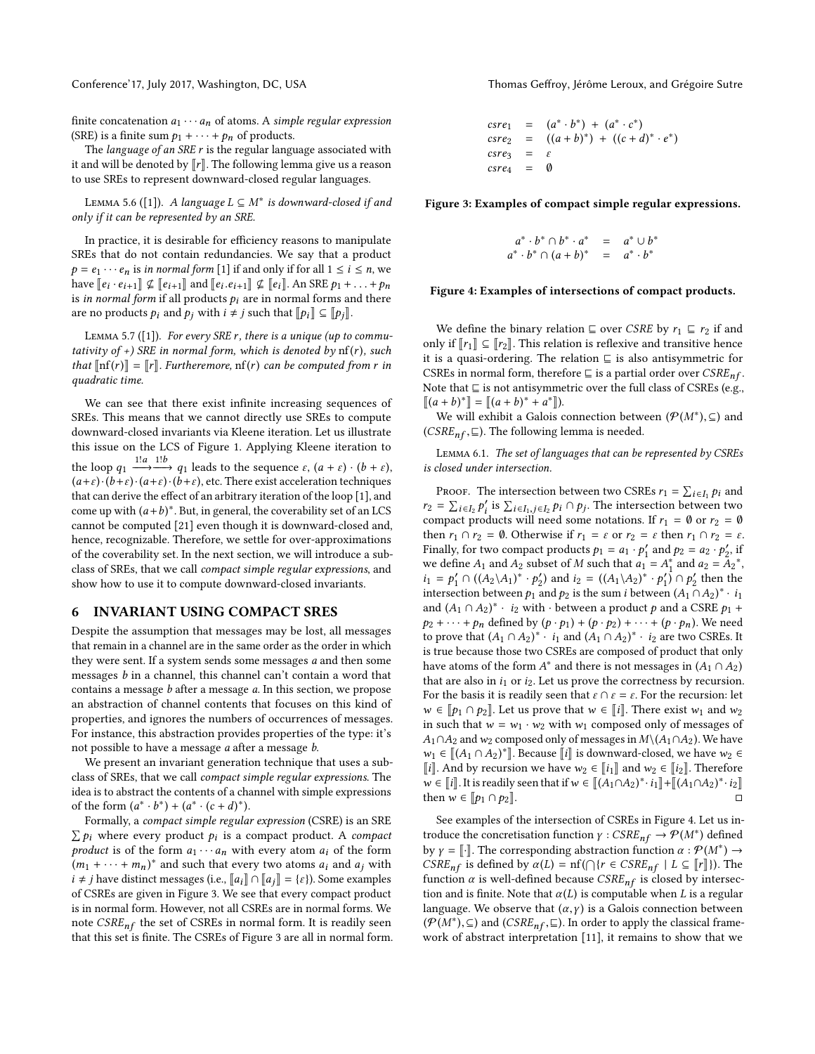finite concatenation  $a_1 \cdots a_n$  of atoms. A simple regular expression (SRE) is a finite sum  $p_1 + \cdots + p_n$  of products.

The *language of an SRE r* is the regular language associated with it and will be denoted by  $\llbracket r \rrbracket$ . The following lemma give us a reason to use SREs to represent downward-closed regular languages.

LEMMA 5.6 ([\[1\]](#page-9-19)). A language  $L ⊆ M^*$  is downward-closed if and<br>by if it can be represented by an SPE only if it can be represented by an SRE.

In practice, it is desirable for efficiency reasons to manipulate SREs that do not contain redundancies. We say that a product  $p = e_1 \cdots e_n$  is in normal form [\[1\]](#page-9-19) if and only if for all  $1 \le i \le n$ , we have  $[\![e_i \cdot e_{i+1}]\!] \nsubseteq [\![e_{i+1}]\!]$  and  $[\![e_i, e_{i+1}]\!] \nsubseteq [\![e_i]\!]$ . An SRE  $p_1 + \ldots + p_n$ is in normal form if all products  $p_i$  are in normal forms and there are no products  $p_i$  and  $p_j$  with  $i \neq j$  such that  $\llbracket p_i \rrbracket \subseteq \llbracket p_j \rrbracket$ .

LEMMA 5.7 ([\[1\]](#page-9-19)). For every SRE  $r$ , there is a unique (up to commutativity of  $+$ ) SRE in normal form, which is denoted by  $nf(r)$ , such that  $\left[\inf(r)\right] = \left[r\right]$ . Furtheremore,  $\inf(r)$  can be computed from r in quadratic time.

We can see that there exist infinite increasing sequences of SREs. This means that we cannot directly use SREs to compute downward-closed invariants via Kleene iteration. Let us illustrate this issue on the LCS of [Figure 1.](#page-4-0) Applying Kleene iteration to the loop  $q_1 \xrightarrow{1!a} \xrightarrow{1!b} q_1$  leads to the sequence  $\varepsilon$ ,  $(a + \varepsilon) \cdot (b + \varepsilon)$ ,<br> $(a + \varepsilon) \cdot (b + \varepsilon) \cdot (b + \varepsilon)$  atc. There exist acceleration techniques  $(a+\varepsilon)\cdot (b+\varepsilon)\cdot (a+\varepsilon)\cdot (b+\varepsilon)$ , etc. There exist acceleration techniques that can derive the effect of an arbitrary iteration of the loop [\[1\]](#page-9-19), and come up with  $(a+b)^*$ . But, in general, the coverability set of an LCS<br>connot be computed [21] even though it is downward-closed and cannot be computed [\[21\]](#page-9-16) even though it is downward-closed and, hence, recognizable. Therefore, we settle for over-approximations of the coverability set. In the next section, we will introduce a subclass of SREs, that we call compact simple regular expressions, and show how to use it to compute downward-closed invariants.

#### <span id="page-5-0"></span>6 INVARIANT USING COMPACT SRES

Despite the assumption that messages may be lost, all messages that remain in a channel are in the same order as the order in which they were sent. If a system sends some messages a and then some messages b in a channel, this channel can't contain a word that contains a message b after a message a. In this section, we propose an abstraction of channel contents that focuses on this kind of properties, and ignores the numbers of occurrences of messages. For instance, this abstraction provides properties of the type: it's not possible to have a message a after a message b.

We present an invariant generation technique that uses a subclass of SREs, that we call compact simple regular expressions. The idea is to abstract the contents of a channel with simple expressions of the form  $(a^* \cdot b^*) + (a^* \cdot (c + d)^*)$ .<br>Formally a compact simple regular

Formally, a compact simple regular expression (CSRE) is an SRE  $\sum p_i$  where every product  $p_i$  is a compact product. A compact<br>product is of the form  $a_i \cup a_j$  with every atom  $a_i$  of the form product is of the form  $a_1 \cdots a_n$  with every atom  $a_i$  of the form  $(m_1 + \cdots + m_n)^*$  and such that every two atoms  $a_i$  and  $a_j$  with  $i + i$  have distinct messages  $(i \in [a, 1] \cap [a, 1] - \{c\})$ . Some examples  $i \neq j$  have distinct messages (i.e.,  $\llbracket a_i \rrbracket \cap \llbracket a_j \rrbracket = \{\varepsilon\}$ ). Some examples of CSREs are given in [Figure 3.](#page-5-1) We see that every compact product is in normal form. However, not all CSREs are in normal forms. We note  $CSRE_{nf}$  the set of CSREs in normal form. It is readily seen that this set is finite. The CSREs of [Figure 3](#page-5-1) are all in normal form.

Conference'17, July 2017, Washington, DC, USA Thomas Geffroy, Jérôme Leroux, and Grégoire Sutre

<span id="page-5-1"></span>
$$
\begin{array}{rcl}\n\text{c} \text{s} \text{r} \text{e}_1 & = & (a^* \cdot b^*) + (a^* \cdot c^*) \\
\text{c} \text{s} \text{r} \text{e}_2 & = & ((a + b)^*) + ((c + d)^* \cdot e^*) \\
\text{c} \text{s} \text{r} \text{e}_3 & = & \varepsilon \\
\text{c} \text{s} \text{r} \text{e}_4 & = & 0\n\end{array}
$$

<span id="page-5-2"></span>Figure 3: Examples of compact simple regular expressions.

$$
a^* \cdot b^* \cap b^* \cdot a^* = a^* \cup b^*
$$
  

$$
a^* \cdot b^* \cap (a+b)^* = a^* \cdot b^*
$$

#### Figure 4: Examples of intersections of compact products.

We define the binary relation  $\subseteq$  over CSRE by  $r_1 \subseteq r_2$  if and only if  $\llbracket r_1 \rrbracket \subseteq \llbracket r_2 \rrbracket$ . This relation is reflexive and transitive hence it is a quasi-ordering. The relation  $\sqsubseteq$  is also antisymmetric for CSREs in normal form, therefore  $\sqsubseteq$  is a partial order over  $CSRE_{nf}$ . Note that  $\sqsubseteq$  is not antisymmetric over the full class of CSREs (e.g.,  $[(a + b)^*] = [(a + b)^* + a^*].$ <br>We will exhibit a Galois c

We will exhibit a Galois connection between  $(\mathcal{P}(M^*), \subseteq)$  and  $SPF \subset \subseteq \Box$  The following lemma is needed (*CSRE<sub>nf</sub>*, $\subseteq$ ). The following lemma is needed.

Lemma 6.1. The set of languages that can be represented by CSREs is closed under intersection.

PROOF. The intersection between two CSREs  $r_1 = \sum_{i \in I_1} p_i$  and  $\sum_{i \in I_2} p_i \leq \sum_{i \in I_1} p_i$  and  $\sum_{i \in I_2} p_i \leq \sum_{i \in I_1} p_i$ .  $i \in I_1$  $r_2 = \sum_{i \in I_2} p'_i$  is  $\sum_{i \in I_1, j \in I_2} p_i \cap p_j$ . The intersection between two compact products will need some notations If  $r_1 = \emptyset$  or  $r_2 = \emptyset$  $\sum_{i=1}^{n} \sum_{i=1}^{n} \sum_{j=1}^{n} \sum_{i=1}^{n} \sum_{j=1}^{n} r^{i} \cdot \overline{r}$ . Compact products will need some notations. If  $r_1 = \emptyset$  or  $r_2 = \emptyset$ <br>then r.  $\bigcirc$  r.  $\bigcirc$  for  $\bigcirc$  for  $\bigcirc$  for  $\bigcirc$  for  $r_1 = \emptyset$  for  $r_2 = \emptyset$ then  $r_1 \cap r_2 = \emptyset$ . Otherwise if  $r_1 = \varepsilon$  or  $r_2 = \varepsilon$  then  $r_1 \cap r_2 = \varepsilon$ . Finally, for two compact products  $p_1 = a_1 \cdot p'_1$  and  $p_2 = a_2 \cdot p'_2$ , if we define  $A_1$  and  $A_2$  subset of M such that  $a_1 = A_1^*$  and  $a_2 = A_2^*$ ,<br> $b_1 = b_1' \cap ((A_2)A_1)^* \cdot b_2'$  and  $b_2 = ((A_1)A_2)^* \cdot b_2'$  and  $b_3$  $i_1 = p'_1 \cap ((A_2 \setminus A_1)^* \cdot p'_2)$  and  $i_2 = ((A_1 \setminus A_2)^* \cdot p'_1) \cap p'_2$  then the intersection between  $A_2$  and  $b_2$  is the sum *i* between  $(A_2 \setminus A_2)^* \cdot j_2$ intersection between  $p_1$  and  $p_2$  is the sum i between  $(A_1 \cap A_2)^* \cdot i_1$ <br>and  $(A_2 \cap A_2)^* \cdot i_2$  with chetween a product a and a CSRF  $p_1 + p_2$ and  $(A_1 \cap A_2)^* \cdot i_2$  with  $\cdot$  between a product p and a CSRE  $p_1 + p_2 + \cdots + p_n$  defined by  $(p_1, p_2) + (p_1, p_2) + \cdots + (p_n, p_n)$ . We need  $p_2 + \cdots + p_n$  defined by  $(p \cdot p_1) + (p \cdot p_2) + \cdots + (p \cdot p_n)$ . We need to prove that  $(A_1 \cap A_2)^* \cdot i_1$  and  $(A_1 \cap A_2)^* \cdot i_2$  are two CSREs. It is true because those two CSPEs are composed of product that only is true because those two CSREs are composed of product that only have atoms of the form  $A^*$  and there is not messages in  $(A_1 \cap A_2)$ <br>that are also in *i*, or *i*<sub>0</sub>. Let us prove the correctness by recursion that are also in  $i_1$  or  $i_2$ . Let us prove the correctness by recursion. For the basis it is readily seen that  $\varepsilon \cap \varepsilon = \varepsilon$ . For the recursion: let  $w \in [\![p_1 \cap p_2]\!]$ . Let us prove that  $w \in [\![i]\!]$ . There exist  $w_1$  and  $w_2$ in such that  $w = w_1 \cdot w_2$  with  $w_1$  composed only of messages of  $A_1 \cap A_2$  and w<sub>2</sub> composed only of messages in  $M \setminus (A_1 \cap A_2)$ . We have  $w_1 \in [(A_1 \cap A_2)^*]$ . Because  $[i]$  is downward-closed, we have  $w_2 \in$   $[i]$  and by requirem we have  $w_2 \in [i]$  and  $w_2 \in [i]$ . Therefore  $\|\iota\|$ . And by recursion we have  $w_2 \in \|\iota_1\|$  and  $w_2 \in \|\iota_2\|$ . Therefore  $w \in [[i]]$ . It is readily seen that if  $w \in [[(A_1 \cap A_2)^* \cdot i_1]] + [[(A_1 \cap A_2)^* \cdot i_2]]$ <br>then  $w \in [[a_1 \cap A_2 \cdot a_2]]$ then  $w \in [p_1 \cap p_2]$ .

See examples of the intersection of CSREs in [Figure 4.](#page-5-2) Let us introduce the concretisation function  $\gamma : CSRE_{nf} \to \mathcal{P}(M^*)$  defined<br>by  $\gamma = \mathbb{L} \mathbb{L}$ . The corresponding obstraction function  $\alpha : \mathcal{P}(M^*) \to$ by  $\gamma = []$ . The corresponding abstraction function  $\alpha : \mathcal{P}(M^*) \to$ <br>CSBE s is defined by  $\alpha(I) = nf(\bigcirc I)$  = CSBE s |  $I \subseteq \mathbb{F}$ ]). The CSRE<sub>nf</sub> is defined by  $\alpha(L) = nf(\bigcap \{r \in CSRE_{nf} \mid L \subseteq [r]\}\)$ . The function  $\alpha$  is well-defined because CSRE s is closed by intersecfunction  $\alpha$  is well-defined because  $CSRE_{nf}$  is closed by intersection and is finite. Note that  $\alpha(L)$  is computable when L is a regular language. We observe that  $(\alpha, \gamma)$  is a Galois connection between  $(\mathcal{P}(M^*))$ , ⊆) and  $(CSRE_{nf}, \sqsubseteq)$ . In order to apply the classical frame-<br>work of abstract interpretation [11] it remains to show that we work of abstract interpretation [\[11\]](#page-9-20), it remains to show that we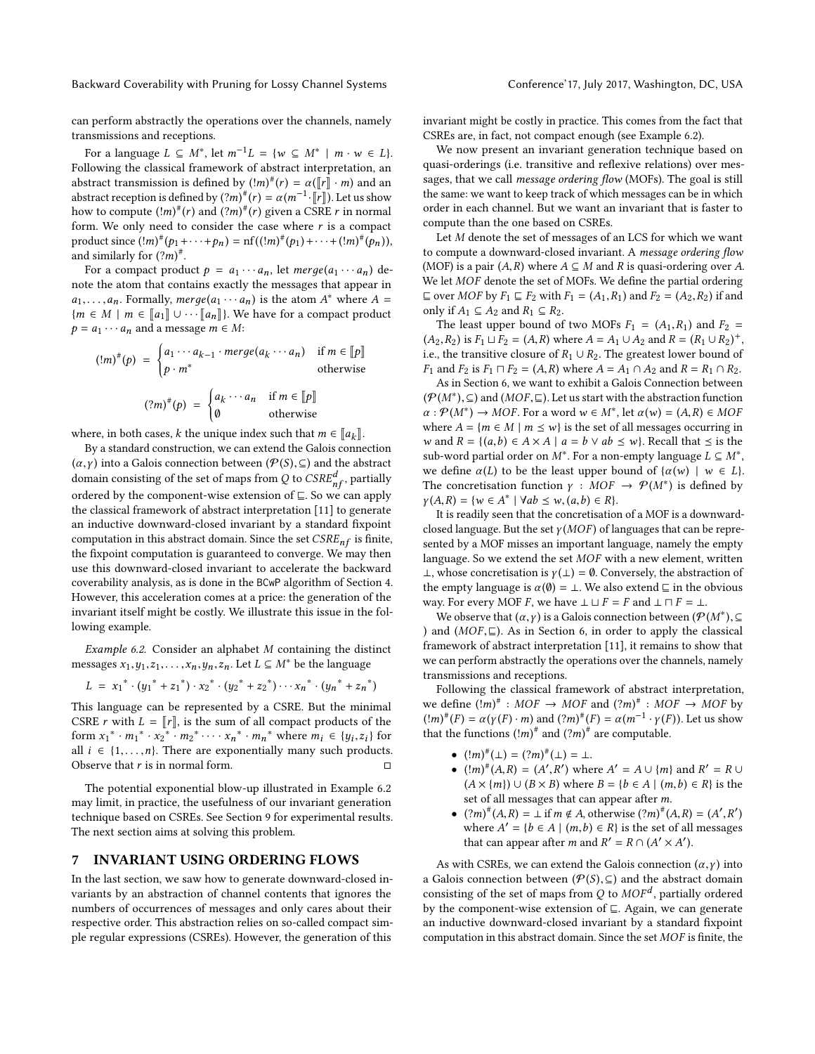can perform abstractly the operations over the channels, namely transmissions and receptions.

For a language  $L \subseteq M^*$ , let  $m^{-1}L = \{w \subseteq M^* \mid m \cdot w \in L\}$ .<br>Howing the classical framework of abstract interpretation, an Following the classical framework of abstract interpretation, an abstract transmission is defined by  $(!m)^{\#}(r) = \alpha([\![r]\!]\cdot m)$  and an abstract recention is defined by  $(?m)^{\#}(r) = \alpha(m^{-1}.\llbracket r \rrbracket)$ . Let us show abstract reception is defined by  $(?m)^{\#}(r) = \alpha(m^{-1} \cdot \llbracket r \rrbracket)$ . Let us show how to compute  ${!(m)}^{\#}(r)$  and  ${((m)}^{\#}(r)$  given a CSRE r in normal<br>form We only need to consider the case where r is a compact form. We only need to consider the case where  $r$  is a compact product since  $(\binom{!m)^{\#}(p_1 + \cdots + p_n) = \text{nf}((\binom{!m)^{\#}(p_1) + \cdots + (\binom{!m)^{\#}(p_n)}{n})}$ and similarly for  $(?m)^*$ .<br>For a compact product

For a compact product  $p = a_1 \cdots a_n$ , let  $merge(a_1 \cdots a_n)$  denote the atom that contains exactly the messages that appear in  $a_1, \ldots, a_n$ . Formally,  $merge(a_1 \cdots a_n)$  is the atom  $A^*$  where  $A = \{m \in M \mid m \in \llbracket a_1 \rrbracket \}$ . We have for a compact product  ${m \in M \mid m \in [a_1] \cup \cdots [a_n]}$ . We have for a compact product  $p = a_1 \cdots a_n$  and a message  $m \in M$ :

$$
(!m)^{\#}(p) = \begin{cases} a_1 \cdots a_{k-1} \cdot merge(a_k \cdots a_n) & \text{if } m \in [[p]] \\ p \cdot m^* & \text{otherwise} \end{cases}
$$

$$
(?m)^{\#}(p) = \begin{cases} a_k \cdots a_n & \text{if } m \in [[p]] \\ 0 & \text{otherwise} \end{cases}
$$

where, in both cases, k the unique index such that  $m \in [a_k]$ .<br>By a standard construction, we can extend the Galois conne

By a standard construction, we can extend the Galois connection  $(\alpha, \gamma)$  into a Galois connection between  $(\mathcal{P}(S), \subseteq)$  and the abstract domain consisting of the set of maps from Q to  $CSRE_{nf}^d$ , partially<br>ordered by the component-wise extension of  $\Gamma$ . So we can apply ordered by the component-wise extension of  $\subseteq$ . So we can apply the classical framework of abstract interpretation [\[11\]](#page-9-20) to generate an inductive downward-closed invariant by a standard fixpoint computation in this abstract domain. Since the set  $CSRE_{nf}$  is finite, the fixpoint computation is guaranteed to converge. We may then use this downward-closed invariant to accelerate the backward coverability analysis, as is done in the BCwP algorithm of [Section 4.](#page-2-0) However, this acceleration comes at a price: the generation of the invariant itself might be costly. We illustrate this issue in the following example.

<span id="page-6-1"></span>Example 6.2. Consider an alphabet M containing the distinct messages  $x_1, y_1, z_1, \ldots, x_n, y_n, z_n$ . Let  $L \subseteq M^*$  be the language

$$
L = x_1^* \cdot (y_1^* + z_1^*) \cdot x_2^* \cdot (y_2^* + z_2^*) \cdots x_n^* \cdot (y_n^* + z_n^*)
$$

This language can be represented by a CSRE. But the minimal CSRE r with  $L = ||r||$ , is the sum of all compact products of the form  $x_1^* \cdot m_1^* \cdot x_2^* \cdot m_2^* \cdot \cdot \cdot x_n^* \cdot m_n^*$  where  $m_i \in \{y_i, z_i\}$  for all  $i \in \{1, ..., n\}$ . There are exponentially many such products all *i* ∈ {1,...,*n*}. There are exponentially many such products. Observe that *r* is in normal form. Observe that  $r$  is in normal form.

The potential exponential blow-up illustrated in [Example 6.2](#page-6-1) may limit, in practice, the usefulness of our invariant generation technique based on CSREs. See [Section 9](#page-7-1) for experimental results. The next section aims at solving this problem.

#### <span id="page-6-0"></span>7 INVARIANT USING ORDERING FLOWS

In the last section, we saw how to generate downward-closed invariants by an abstraction of channel contents that ignores the numbers of occurrences of messages and only cares about their respective order. This abstraction relies on so-called compact simple regular expressions (CSREs). However, the generation of this

invariant might be costly in practice. This comes from the fact that CSREs are, in fact, not compact enough (see [Example 6.2\)](#page-6-1).

We now present an invariant generation technique based on quasi-orderings (i.e. transitive and reflexive relations) over messages, that we call *message ordering flow* (MOFs). The goal is still the same: we want to keep track of which messages can be in which order in each channel. But we want an invariant that is faster to compute than the one based on CSREs.

Let M denote the set of messages of an LCS for which we want to compute a downward-closed invariant. A message ordering flow (MOF) is a pair  $(A, R)$  where  $A \subseteq M$  and R is quasi-ordering over A. We let MOF denote the set of MOFs. We define the partial ordering  $\sqsubseteq$  over MOF by  $F_1 \sqsubseteq F_2$  with  $F_1 = (A_1, R_1)$  and  $F_2 = (A_2, R_2)$  if and only if  $A_1$  ⊆  $A_2$  and  $R_1$  ⊆  $R_2$ .

The least upper bound of two MOFs  $F_1 = (A_1, R_1)$  and  $F_2 =$  $(A_2, R_2)$  is  $F_1 \sqcup \overline{F_2} = (A, R)$  where  $A = A_1 \cup A_2$  and  $R = (R_1 \cup R_2)^+$ ,<br>i.e., the transitive closure of  $R_1 \sqcup R_2$ . The greatest lower bound of i.e., the transitive closure of  $R_1 \cup R_2$ . The greatest lower bound of  $F_1$  and  $F_2$  is  $F_1 \sqcap F_2 = (A, R)$  where  $A = A_1 \cap A_2$  and  $R = R_1 \cap R_2$ .

As in [Section 6,](#page-5-0) we want to exhibit a Galois Connection between  $(\mathcal{P}(M^*))$ , ⊆) and  $(MOF, ⊆)$ . Let us start with the abstraction function  $\alpha : \mathcal{P}(M^*) \to MOF$  For a word  $w \in M^*$  let  $\alpha(w) = (4, R) \in MOF$  $\alpha : \mathcal{P}(M^*) \to MOF$ . For a word  $w \in M^*$ , let  $\alpha(w) = (A, R) \in MOF$ <br>where  $A - \{m \in M \mid m \leq w\}$  is the set of all messages occurring in where  $A = \{m \in M \mid m \leq w\}$  is the set of all messages occurring in w and  $R = \{(a, b) \in A \times A \mid a = b \vee ab \leq w\}$ . Recall that  $\leq$  is the sub-word partial order on M<sup>\*</sup>. For a non-empty language  $L \subseteq M^*$ ,<br>we define  $\alpha(I)$  to be the least upper bound of  $\alpha(\omega) + \omega \in I$ . we define  $\alpha(L)$  to be the least upper bound of  $\{\alpha(w) \mid w \in L\}$ . The concretisation function  $\gamma : MOF \to \mathcal{P}(M^*)$  is defined by  $\nu(A, B) = \{w \in A^* | \; \forall ab \leq w (a, b) \in B\}$  $\gamma(A,R) = \{w \in A^* \mid \forall ab \leq w, (a,b) \in R\}.$ <br>It is readily seen that the concretisation

It is readily seen that the concretisation of a MOF is a downwardclosed language. But the set  $\gamma(MOF)$  of languages that can be represented by a MOF misses an important language, namely the empty language. So we extend the set MOF with a new element, written ⊥, whose concretisation is  $\gamma(\perp) = \emptyset$ . Conversely, the abstraction of the empty language is  $\alpha(\emptyset) = \bot$ . We also extend  $\sqsubseteq$  in the obvious way. For every MOF F, we have  $\bot \sqcup F = F$  and  $\bot \sqcap F = \bot$ .

We observe that  $(\alpha, \gamma)$  is a Galois connection between  $(\mathcal{P}(M^*))$ ,  $\subseteq$ <br>nd  $(MOF \sqsubset)$  de in Section 6, in order to apply the classical ) and  $(MOF, \sqsubseteq)$ . As in [Section 6,](#page-5-0) in order to apply the classical framework of abstract interpretation [\[11\]](#page-9-20), it remains to show that we can perform abstractly the operations over the channels, namely transmissions and receptions.

Following the classical framework of abstract interpretation, we define  $(!m)^{\#}: MOF \rightarrow MOF$  and  $(?m)^{\#}: MOF \rightarrow MOF$  by<br> $(!m)^{\#}(E) = \alpha(y(F), m)$  and  $(?m)^{\#}(E) = \alpha(m^{-1}, y(F))$ . Let us shown  $(\ell m)^{\#}(F) = \alpha (\gamma(F) \cdot m)$  and  $(2m)^{\#}(F) = \alpha (m^{-1} \cdot \gamma(F))$ . Let us show that the functions  $\left(\frac{1}{m}\right)^{\#}$  and  $\left(\frac{2m}{m}\right)^{\#}$  are computable.

- $(\lg m)^{\#}(\perp) = (\lg m)^{\#}(\perp) = \perp$ .<br>•  $(\lg m)^{\#}(\land \neg p) = (\land' \neg p')$  where
- $(\lfloor m \rfloor^{\#}(A, R) = (A', R')$  where  $A' = A \cup \{m\}$  and  $R' = R \cup (A \times \{m\}) \cup (R \times R)$  where  $B = \{b \in A \mid (m, b) \in R\}$  is the  $(A \times \{m\}) \cup (B \times B)$  where  $B = \{b \in A \mid (m, b) \in R\}$  is the set of all messages that can appear after m set of all messages that can appear after m.
- $(2m)^{\#}(A,R) = \bot$  if  $m \notin A$ , otherwise  $(2m)^{\#}(A,R) = (A', R')$ <br>where  $A' = Ih \in A \mid (m, h) \in R$  is the set of all message where  $A' = \{b \in A \mid (m, b) \in R\}$  is the set of all messages<br>that can appear after m and  $P' = P \circ (A' \times A')$ that can appear after *m* and  $R' = R \cap (A' \times A')$ .

As with CSREs, we can extend the Galois connection  $(\alpha, \gamma)$  into a Galois connection between ( $\mathcal{P}(S)$ ,  $\subseteq$ ) and the abstract domain consisting of the set of maps from Q to  $MOF^d$ , partially ordered<br>by the component-wise extension of  $\Box$  Again, we can generate by the component-wise extension of  $\subseteq$ . Again, we can generate an inductive downward-closed invariant by a standard fixpoint computation in this abstract domain. Since the set  $MOF$  is finite, the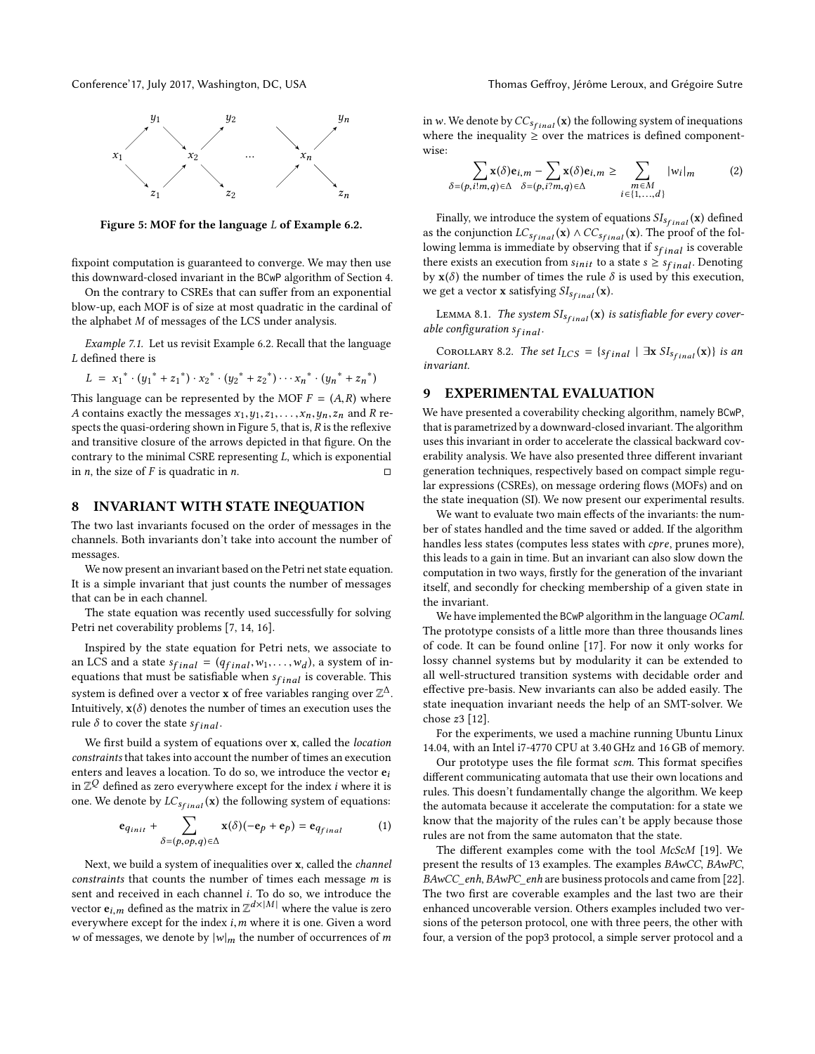<span id="page-7-2"></span>

Figure 5: MOF for the language L of [Example 6.2.](#page-6-1)

fixpoint computation is guaranteed to converge. We may then use this downward-closed invariant in the BCwP algorithm of [Section 4.](#page-2-0)

On the contrary to CSREs that can suffer from an exponential blow-up, each MOF is of size at most quadratic in the cardinal of the alphabet M of messages of the LCS under analysis.

Example 7.1. Let us revisit Example [6.2.](#page-6-1) Recall that the language  ${\cal L}$  defined there is

$$
L = x_1^* \cdot (y_1^* + z_1^*) \cdot x_2^* \cdot (y_2^* + z_2^*) \cdots x_n^* \cdot (y_n^* + z_n^*)
$$

This language can be represented by the MOF  $F = (A, R)$  where  $A$  contains exactly the messages  $x_1, y_2, \ldots, x_n, y_n, z_n$  and  $R$  re-A contains exactly the messages  $x_1, y_1, z_1, \ldots, x_n, y_n, z_n$  and R re-spects the quasi-ordering shown in [Figure 5,](#page-7-2) that is,  $R$  is the reflexive and transitive closure of the arrows depicted in that figure. On the contrary to the minimal CSRE representing *L*, which is exponential<br>in *n*, the size of *F* is quadratic in *n*. in *n*, the size of *F* is quadratic in *n*.

#### <span id="page-7-0"></span>8 INVARIANT WITH STATE INEQUATION

The two last invariants focused on the order of messages in the channels. Both invariants don't take into account the number of messages.

We now present an invariant based on the Petri net state equation. It is a simple invariant that just counts the number of messages that can be in each channel.

The state equation was recently used successfully for solving Petri net coverability problems [\[7,](#page-9-0) [14,](#page-9-1) [16\]](#page-9-2).

Inspired by the state equation for Petri nets, we associate to an LCS and a state  $s_{final} = (q_{final}, w_1, \ldots, w_d)$ , a system of in-<br>equations that must be satisfiable when  $s_{\ell}$ , is coverable. This equations that must be satisfiable when  $s_{final}$  is coverable. This system is defined over a vector **x** of free variables ranging over  $\mathbb{Z}^{\Delta}$ . Intuitively,  $x(\delta)$  denotes the number of times an execution uses the rule  $\delta$  to cover the state  $s_{final}$ .

We first build a system of equations over x, called the location constraints that takes into account the number of times an execution enters and leaves a location. To do so, we introduce the vector  $e_i$ in  $\mathbb{Z}^{\mathcal{Q}}$  defined as zero everywhere except for the index *i* where it is one. We denote by  $LC_{sfinal}(\mathbf{x})$  the following system of equations:

$$
\mathbf{e}_{q_{init}} + \sum_{\delta = (p, op, q) \in \Delta} \mathbf{x}(\delta)(-\mathbf{e}_p + \mathbf{e}_p) = \mathbf{e}_{q_{final}} \tag{1}
$$

Next, we build a system of inequalities over x, called the channel constraints that counts the number of times each message  $m$  is sent and received in each channel i. To do so, we introduce the vector  $e_{i,m}$  defined as the matrix in  $\mathbb{Z}^{d\times |M|}$  where the value is zero average veces for the index i m where it is one. Given a word everywhere except for the index  $i, m$  where it is one. Given a word w of messages, we denote by  $|w|_m$  the number of occurrences of m in w. We denote by  $CC_{s<sub>final</sub>}(\mathbf{x})$  the following system of inequations where the inequality  $\geq$  over the matrices is defined componentwise:

$$
\sum_{\delta=(p,i|m,q)\in\Delta} \mathbf{x}(\delta)\mathbf{e}_{i,m} - \sum_{\delta=(p,i^2m,q)\in\Delta} \mathbf{x}(\delta)\mathbf{e}_{i,m} \ge \sum_{\substack{m\in M\\i\in\{1,\ldots,d\}}} |w_i|_m \tag{2}
$$

Finally, we introduce the system of equations  $\mathit{SI}_{\mathit{Sfinal}}(\mathbf{x})$  defined as the conjunction  $LC_{s<sub>final</sub>}$  (x)  $\wedge CC_{s<sub>final</sub>}$  (x). The proof of the following lemma is immediate by observing that if  $s_{final}$  is coverable there exists an execution from  $s_{init}$  to a state  $s \geq s_{final}$ . Denoting by  $\mathbf{x}(\delta)$  the number of times the rule  $\delta$  is used by this execution, we get a vector **x** satisfying  $SI_{sfinal}(\mathbf{x})$ .

LEMMA 8.1. The system  $SI_{sfinal}(\mathbf{x})$  is satisfiable for every coverable configuration  $s_{final}$ .

COROLLARY 8.2. The set  $I_{LCS} = \{s_{final} \mid \exists x S I_{S<sub>final</sub>}(x)\}\$ is an invariant.

# <span id="page-7-1"></span>9 EXPERIMENTAL EVALUATION

We have presented a coverability checking algorithm, namely BCwP, that is parametrized by a downward-closed invariant. The algorithm uses this invariant in order to accelerate the classical backward coverability analysis. We have also presented three different invariant generation techniques, respectively based on compact simple regular expressions (CSREs), on message ordering flows (MOFs) and on the state inequation (SI). We now present our experimental results.

We want to evaluate two main effects of the invariants: the number of states handled and the time saved or added. If the algorithm handles less states (computes less states with cpre, prunes more), this leads to a gain in time. But an invariant can also slow down the computation in two ways, firstly for the generation of the invariant itself, and secondly for checking membership of a given state in the invariant.

We have implemented the BCwP algorithm in the language OCaml. The prototype consists of a little more than three thousands lines of code. It can be found online [\[17\]](#page-9-21). For now it only works for lossy channel systems but by modularity it can be extended to all well-structured transition systems with decidable order and effective pre-basis. New invariants can also be added easily. The state inequation invariant needs the help of an SMT-solver. We chose z<sup>3</sup> [\[12\]](#page-9-22).

For the experiments, we used a machine running Ubuntu Linux 14.04, with an Intel i7-4770 CPU at 3.40 GHz and 16 GB of memory.

Our prototype uses the file format scm. This format specifies different communicating automata that use their own locations and rules. This doesn't fundamentally change the algorithm. We keep the automata because it accelerate the computation: for a state we know that the majority of the rules can't be apply because those rules are not from the same automaton that the state.

The different examples come with the tool McScM [\[19\]](#page-9-10). We present the results of 13 examples. The examples BAwCC, BAwPC, BAwCC\_enh, BAwPC\_enh are business protocols and came from [\[22\]](#page-9-7). The two first are coverable examples and the last two are their enhanced uncoverable version. Others examples included two versions of the peterson protocol, one with three peers, the other with four, a version of the pop3 protocol, a simple server protocol and a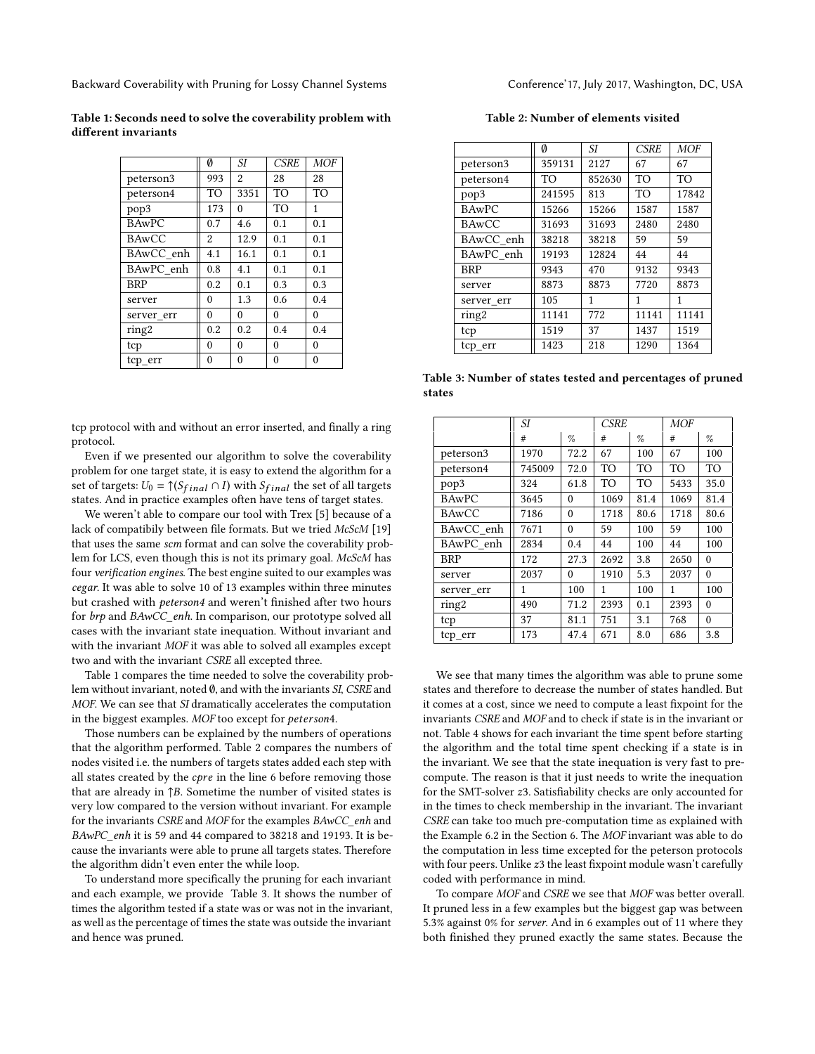<span id="page-8-0"></span>Table 1: Seconds need to solve the coverability problem with different invariants

|              | Ø        | SI.      | <b>CSRE</b> | <b>MOF</b> |
|--------------|----------|----------|-------------|------------|
| peterson3    | 993      | 2        | 28          | 28         |
| peterson4    | TO       | 3351     | TO          | TO         |
| pop3         | 173      | $\theta$ | TO          | 1          |
| <b>BAwPC</b> | 0.7      | 4.6      | 0.1         | 0.1        |
| <b>BAwCC</b> | 2        | 12.9     | 0.1         | 0.1        |
| BAwCC enh    | 4.1      | 16.1     | 0.1         | 0.1        |
| BAwPC enh    | 0.8      | 4.1      | 0.1         | 0.1        |
| <b>BRP</b>   | 0.2      | 0.1      | 0.3         | 0.3        |
| server       | $\theta$ | 1.3      | 0.6         | 0.4        |
| server err   | $\theta$ | $\theta$ | $\theta$    | $\theta$   |
| ring2        | 0.2      | 0.2      | 0.4         | 0.4        |
| tcp          | 0        | $\theta$ | 0           | $\theta$   |
| tcp_err      | $\theta$ | 0        | $\Omega$    | $\theta$   |

tcp protocol with and without an error inserted, and finally a ring protocol.

Even if we presented our algorithm to solve the coverability problem for one target state, it is easy to extend the algorithm for a set of targets:  $U_0 = \uparrow (S_{final} \cap I)$  with  $S_{final}$  the set of all targets states. And in practice examples often have tens of target states.

We weren't able to compare our tool with Trex [\[5\]](#page-9-9) because of a lack of compatibily between file formats. But we tried McScM [\[19\]](#page-9-10) that uses the same scm format and can solve the coverability problem for LCS, even though this is not its primary goal. McScM has four verification engines. The best engine suited to our examples was cegar. It was able to solve 10 of 13 examples within three minutes but crashed with *peterson4* and weren't finished after two hours for brp and BAwCC\_enh. In comparison, our prototype solved all cases with the invariant state inequation. Without invariant and with the invariant MOF it was able to solved all examples except two and with the invariant CSRE all excepted three.

[Table 1](#page-8-0) compares the time needed to solve the coverability problem without invariant, noted ∅, and with the invariants SI, CSRE and MOF. We can see that SI dramatically accelerates the computation in the biggest examples. MOF too except for peterson4.

Those numbers can be explained by the numbers of operations that the algorithm performed. [Table 2](#page-8-1) compares the numbers of nodes visited i.e. the numbers of targets states added each step with all states created by the cpre in the line [6](#page-2-3) before removing those that are already in  $\uparrow$ B. Sometime the number of visited states is very low compared to the version without invariant. For example for the invariants CSRE and MOF for the examples BAwCC\_enh and BAwPC\_enh it is 59 and 44 compared to 38218 and 19193. It is because the invariants were able to prune all targets states. Therefore the algorithm didn't even enter the while loop.

To understand more specifically the pruning for each invariant and each example, we provide [Table 3.](#page-8-2) It shows the number of times the algorithm tested if a state was or was not in the invariant, as well as the percentage of times the state was outside the invariant and hence was pruned.

Table 2: Number of elements visited

<span id="page-8-1"></span>

|              | Ø      | SI.    | <b>CSRE</b> | <b>MOF</b>     |
|--------------|--------|--------|-------------|----------------|
| peterson3    | 359131 | 2127   | 67          | 67             |
| peterson4    | TO     | 852630 | <b>TO</b>   | T <sub>O</sub> |
| pop3         | 241595 | 813    | TO          | 17842          |
| <b>BAwPC</b> | 15266  | 15266  | 1587        | 1587           |
| <b>BAwCC</b> | 31693  | 31693  | 2480        | 2480           |
| BAwCC enh    | 38218  | 38218  | 59          | 59             |
| BAwPC enh    | 19193  | 12824  | 44          | 44             |
| <b>BRP</b>   | 9343   | 470    | 9132        | 9343           |
| server       | 8873   | 8873   | 7720        | 8873           |
| server err   | 105    | 1      | 1           | 1              |
| ring2        | 11141  | 772    | 11141       | 11141          |
| tcp          | 1519   | 37     | 1437        | 1519           |
| tcp_err      | 1423   | 218    | 1290        | 1364           |
|              |        |        |             |                |

<span id="page-8-2"></span>Table 3: Number of states tested and percentages of pruned states

|              | SI     |          | <b>CSRE</b> |      | <b>MOF</b> |          |
|--------------|--------|----------|-------------|------|------------|----------|
|              | #      | Z,       | #           | $\%$ | #          | Z,       |
| peterson3    | 1970   | 72.2     | 67          | 100  | 67         | 100      |
| peterson4    | 745009 | 72.0     | TO          | TO   | <b>TO</b>  | TO       |
| pop3         | 324    | 61.8     | <b>TO</b>   | TO   | 5433       | 35.0     |
| <b>BAwPC</b> | 3645   | $\theta$ | 1069        | 81.4 | 1069       | 81.4     |
| <b>BAwCC</b> | 7186   | $\theta$ | 1718        | 80.6 | 1718       | 80.6     |
| BAwCC_enh    | 7671   | $\theta$ | 59          | 100  | 59         | 100      |
| BAwPC_enh    | 2834   | 0.4      | 44          | 100  | 44         | 100      |
| <b>BRP</b>   | 172    | 27.3     | 2692        | 3.8  | 2650       | $\theta$ |
| server       | 2037   | $\theta$ | 1910        | 5.3  | 2037       | $\theta$ |
| server err   | 1      | 100      | 1           | 100  | 1          | 100      |
| ring2        | 490    | 71.2     | 2393        | 0.1  | 2393       | $\theta$ |
| tcp          | 37     | 81.1     | 751         | 3.1  | 768        | $\theta$ |
| tcp_err      | 173    | 47.4     | 671         | 8.0  | 686        | 3.8      |

We see that many times the algorithm was able to prune some states and therefore to decrease the number of states handled. But it comes at a cost, since we need to compute a least fixpoint for the invariants CSRE and MOF and to check if state is in the invariant or not. [Table 4](#page-9-23) shows for each invariant the time spent before starting the algorithm and the total time spent checking if a state is in the invariant. We see that the state inequation is very fast to precompute. The reason is that it just needs to write the inequation for the SMT-solver z3. Satisfiability checks are only accounted for in the times to check membership in the invariant. The invariant CSRE can take too much pre-computation time as explained with the [Example 6.2](#page-6-1) in the [Section 6.](#page-5-0) The MOF invariant was able to do the computation in less time excepted for the peterson protocols with four peers. Unlike z3 the least fixpoint module wasn't carefully coded with performance in mind.

To compare MOF and CSRE we see that MOF was better overall. It pruned less in a few examples but the biggest gap was between 5.3% against 0% for server. And in 6 examples out of 11 where they both finished they pruned exactly the same states. Because the